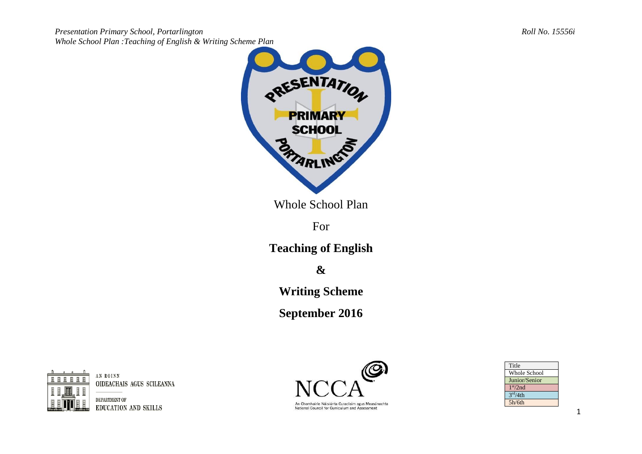



Whole School Plan

For

**Teaching of English**

**&**

**Writing Scheme**

**September 2016**



AN ROINN OIDEACHAIS AGUS SCILEANNA

DEPARTMENT OF **EDUCATION AND SKILLS** 



An Chomhairle Náisiúnta Curaclaim agus Measúnachta National Council for Curriculum and Assessment

| Title                |
|----------------------|
| Whole School         |
| Junior/Senior        |
| 1 <sup>st</sup> /2nd |
| 3 <sup>rd</sup> /4th |
| 5h/6th               |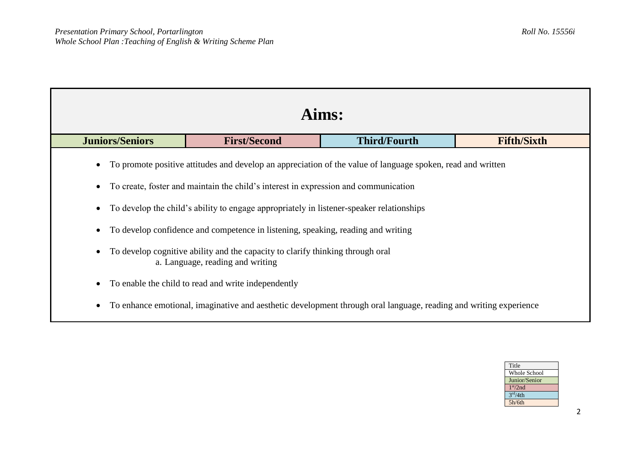| Aims:                                                                                                                                                                                                                                                                                                                                                                                                                                                                                                    |                     |                     |                    |  |  |
|----------------------------------------------------------------------------------------------------------------------------------------------------------------------------------------------------------------------------------------------------------------------------------------------------------------------------------------------------------------------------------------------------------------------------------------------------------------------------------------------------------|---------------------|---------------------|--------------------|--|--|
| <b>Juniors/Seniors</b>                                                                                                                                                                                                                                                                                                                                                                                                                                                                                   | <b>First/Second</b> | <b>Third/Fourth</b> | <b>Fifth/Sixth</b> |  |  |
| To promote positive attitudes and develop an appreciation of the value of language spoken, read and written<br>To create, foster and maintain the child's interest in expression and communication<br>To develop the child's ability to engage appropriately in listener-speaker relationships<br>To develop confidence and competence in listening, speaking, reading and writing<br>To develop cognitive ability and the capacity to clarify thinking through oral<br>a. Language, reading and writing |                     |                     |                    |  |  |
| To enable the child to read and write independently                                                                                                                                                                                                                                                                                                                                                                                                                                                      |                     |                     |                    |  |  |
| To enhance emotional, imaginative and aesthetic development through oral language, reading and writing experience                                                                                                                                                                                                                                                                                                                                                                                        |                     |                     |                    |  |  |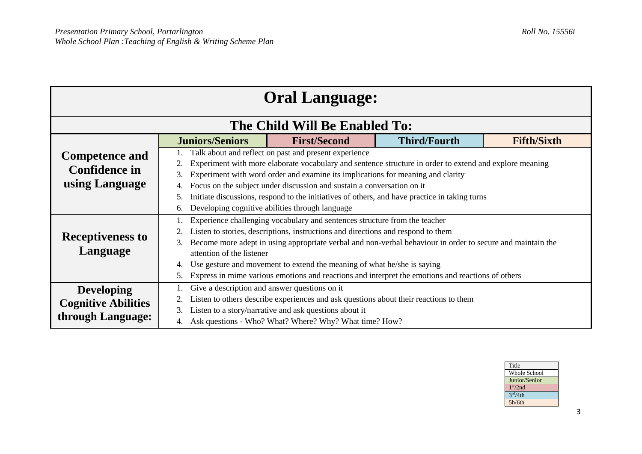| <b>Oral Language:</b>      |                                                                                                                  |                                                                                                         |  |                     |                    |  |  |
|----------------------------|------------------------------------------------------------------------------------------------------------------|---------------------------------------------------------------------------------------------------------|--|---------------------|--------------------|--|--|
|                            |                                                                                                                  | The Child Will Be Enabled To:                                                                           |  |                     |                    |  |  |
|                            | <b>Juniors/Seniors</b>                                                                                           | <b>First/Second</b>                                                                                     |  | <b>Third/Fourth</b> | <b>Fifth/Sixth</b> |  |  |
| <b>Competence and</b>      |                                                                                                                  | Talk about and reflect on past and present experience                                                   |  |                     |                    |  |  |
| <b>Confidence in</b>       |                                                                                                                  | Experiment with more elaborate vocabulary and sentence structure in order to extend and explore meaning |  |                     |                    |  |  |
|                            | 3.                                                                                                               | Experiment with word order and examine its implications for meaning and clarity                         |  |                     |                    |  |  |
| using Language             | 4.                                                                                                               | Focus on the subject under discussion and sustain a conversation on it                                  |  |                     |                    |  |  |
|                            | 5.                                                                                                               | Initiate discussions, respond to the initiatives of others, and have practice in taking turns           |  |                     |                    |  |  |
|                            | Developing cognitive abilities through language                                                                  |                                                                                                         |  |                     |                    |  |  |
|                            | Experience challenging vocabulary and sentences structure from the teacher                                       |                                                                                                         |  |                     |                    |  |  |
| <b>Receptiveness to</b>    | Listen to stories, descriptions, instructions and directions and respond to them                                 |                                                                                                         |  |                     |                    |  |  |
|                            | Become more adept in using appropriate verbal and non-verbal behaviour in order to secure and maintain the<br>3. |                                                                                                         |  |                     |                    |  |  |
| Language                   | attention of the listener                                                                                        |                                                                                                         |  |                     |                    |  |  |
|                            | 4.                                                                                                               | Use gesture and movement to extend the meaning of what he/she is saying                                 |  |                     |                    |  |  |
|                            | Express in mime various emotions and reactions and interpret the emotions and reactions of others<br>5.          |                                                                                                         |  |                     |                    |  |  |
| <b>Developing</b>          |                                                                                                                  | Give a description and answer questions on it                                                           |  |                     |                    |  |  |
| <b>Cognitive Abilities</b> |                                                                                                                  | Listen to others describe experiences and ask questions about their reactions to them                   |  |                     |                    |  |  |
| through Language:          | 3.                                                                                                               | Listen to a story/narrative and ask questions about it                                                  |  |                     |                    |  |  |
|                            | 4.                                                                                                               | Ask questions - Who? What? Where? Why? What time? How?                                                  |  |                     |                    |  |  |

| Title                |
|----------------------|
| <b>Whole School</b>  |
| Junior/Senior        |
| 1 <sup>st</sup> /2nd |
| 3 <sup>rd</sup> /4th |
| 5h/6th               |
|                      |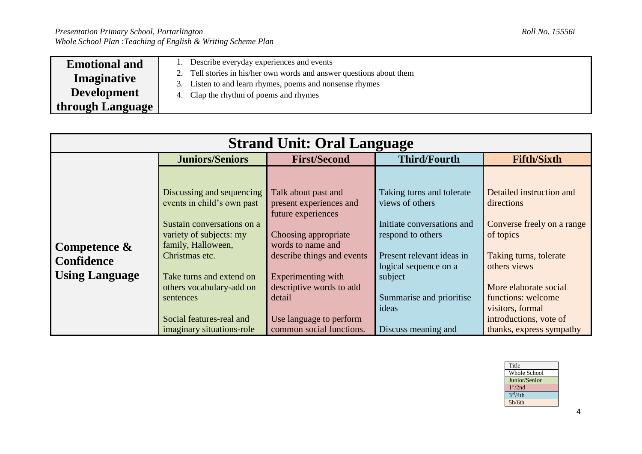**Development through Language**

- 3. Listen to and learn rhymes, poems and nonsense rhymes
- 4. Clap the rhythm of poems and rhymes

| <b>Strand Unit: Oral Language</b>                             |                                                                                                                                                                                                                                                           |                                                                                                                                                                                                                                        |                                                                                                                                                                                                       |                                                                                                                                                                                                                          |  |
|---------------------------------------------------------------|-----------------------------------------------------------------------------------------------------------------------------------------------------------------------------------------------------------------------------------------------------------|----------------------------------------------------------------------------------------------------------------------------------------------------------------------------------------------------------------------------------------|-------------------------------------------------------------------------------------------------------------------------------------------------------------------------------------------------------|--------------------------------------------------------------------------------------------------------------------------------------------------------------------------------------------------------------------------|--|
|                                                               | <b>Juniors/Seniors</b>                                                                                                                                                                                                                                    | <b>First/Second</b>                                                                                                                                                                                                                    | <b>Third/Fourth</b>                                                                                                                                                                                   | <b>Fifth/Sixth</b>                                                                                                                                                                                                       |  |
| Competence $\&$<br><b>Confidence</b><br><b>Using Language</b> | Discussing and sequencing<br>events in child's own past<br>Sustain conversations on a<br>variety of subjects: my<br>family, Halloween,<br>Christmas etc.<br>Take turns and extend on<br>others vocabulary-add on<br>sentences<br>Social features-real and | Talk about past and<br>present experiences and<br>future experiences<br>Choosing appropriate<br>words to name and<br>describe things and events<br>Experimenting with<br>descriptive words to add<br>detail<br>Use language to perform | Taking turns and tolerate<br>views of others<br>Initiate conversations and<br>respond to others<br>Present relevant ideas in<br>logical sequence on a<br>subject<br>Summarise and prioritise<br>ideas | Detailed instruction and<br>directions<br>Converse freely on a range<br>of topics<br>Taking turns, tolerate<br>others views<br>More elaborate social<br>functions: welcome<br>visitors, formal<br>introductions, vote of |  |
|                                                               | imaginary situations-role                                                                                                                                                                                                                                 | common social functions.                                                                                                                                                                                                               | Discuss meaning and                                                                                                                                                                                   | thanks, express sympathy                                                                                                                                                                                                 |  |

| Title                |
|----------------------|
| Whole School         |
| Junior/Senior        |
| 1 <sup>st</sup> /2nd |
| 3 <sup>rd</sup> /4th |
| 5h/6th               |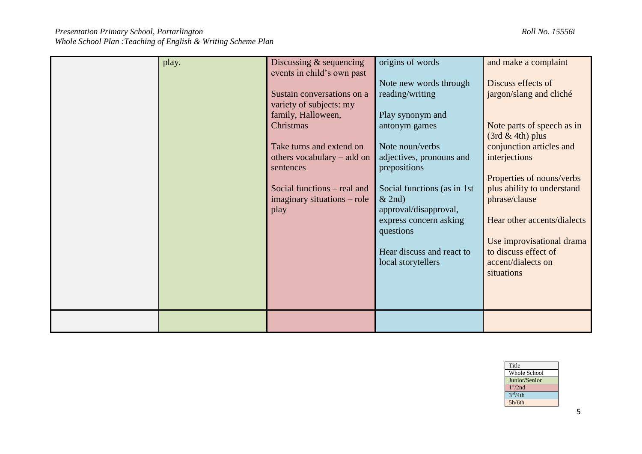| play. | Discussing & sequencing<br>events in child's own past<br>Sustain conversations on a<br>variety of subjects: my<br>family, Halloween,<br>Christmas<br>Take turns and extend on<br>others vocabulary $-$ add on<br>sentences<br>Social functions – real and<br>imaginary situations – role<br>play | origins of words<br>Note new words through<br>reading/writing<br>Play synonym and<br>antonym games<br>Note noun/verbs<br>adjectives, pronouns and<br>prepositions<br>Social functions (as in 1st)<br>& 2nd)<br>approval/disapproval,<br>express concern asking<br>questions<br>Hear discuss and react to<br>local storytellers | and make a complaint<br>Discuss effects of<br>jargon/slang and cliché<br>Note parts of speech as in<br>$(3rd & 4th)$ plus<br>conjunction articles and<br>interjections<br>Properties of nouns/verbs<br>plus ability to understand<br>phrase/clause<br>Hear other accents/dialects<br>Use improvisational drama<br>to discuss effect of<br>accent/dialects on<br>situations |
|-------|--------------------------------------------------------------------------------------------------------------------------------------------------------------------------------------------------------------------------------------------------------------------------------------------------|--------------------------------------------------------------------------------------------------------------------------------------------------------------------------------------------------------------------------------------------------------------------------------------------------------------------------------|----------------------------------------------------------------------------------------------------------------------------------------------------------------------------------------------------------------------------------------------------------------------------------------------------------------------------------------------------------------------------|
|       |                                                                                                                                                                                                                                                                                                  |                                                                                                                                                                                                                                                                                                                                |                                                                                                                                                                                                                                                                                                                                                                            |

| Title                |  |
|----------------------|--|
| <b>Whole School</b>  |  |
| Junior/Senior        |  |
| 1 <sup>st</sup> /2nd |  |
| 3 <sup>rd</sup> /4th |  |
| 5h/6th               |  |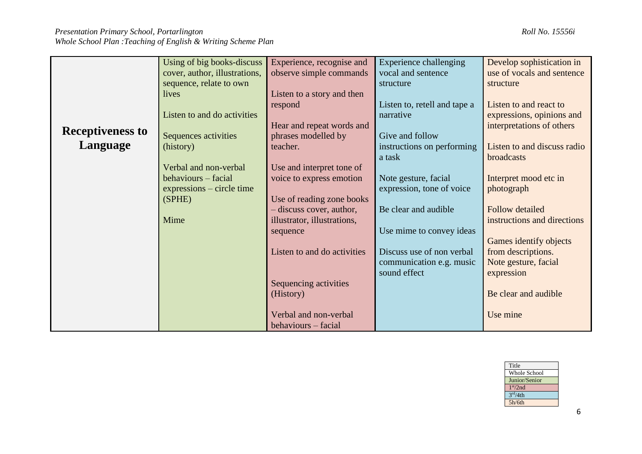|                         | Using of big books-discuss    | Experience, recognise and   | <b>Experience challenging</b> | Develop sophistication in   |
|-------------------------|-------------------------------|-----------------------------|-------------------------------|-----------------------------|
|                         | cover, author, illustrations, | observe simple commands     | vocal and sentence            | use of vocals and sentence  |
|                         | sequence, relate to own       |                             | structure                     | structure                   |
|                         | lives                         | Listen to a story and then  |                               |                             |
|                         |                               | respond                     | Listen to, retell and tape a  | Listen to and react to      |
|                         | Listen to and do activities   |                             | narrative                     | expressions, opinions and   |
|                         |                               | Hear and repeat words and   |                               | interpretations of others   |
| <b>Receptiveness to</b> | Sequences activities          | phrases modelled by         | Give and follow               |                             |
| Language                | (history)                     | teacher.                    | instructions on performing    | Listen to and discuss radio |
|                         |                               |                             | a task                        | broadcasts                  |
|                         | Verbal and non-verbal         | Use and interpret tone of   |                               |                             |
|                         | behaviours – facial           | voice to express emotion    | Note gesture, facial          | Interpret mood etc in       |
|                         | $expressions - circle time$   |                             | expression, tone of voice     | photograph                  |
|                         | (SPHE)                        | Use of reading zone books   |                               |                             |
|                         |                               | - discuss cover, author,    | Be clear and audible          | <b>Follow detailed</b>      |
|                         | Mime                          | illustrator, illustrations, |                               | instructions and directions |
|                         |                               | sequence                    | Use mime to convey ideas      |                             |
|                         |                               |                             |                               | Games identify objects      |
|                         |                               | Listen to and do activities | Discuss use of non verbal     | from descriptions.          |
|                         |                               |                             | communication e.g. music      | Note gesture, facial        |
|                         |                               |                             | sound effect                  | expression                  |
|                         |                               | Sequencing activities       |                               |                             |
|                         |                               | (History)                   |                               | Be clear and audible        |
|                         |                               |                             |                               |                             |
|                         |                               | Verbal and non-verbal       |                               | Use mine                    |
|                         |                               | behaviours – facial         |                               |                             |

| Title                |               |
|----------------------|---------------|
|                      | Whole School  |
|                      | Junior/Senior |
| 1 <sup>st</sup> /2nd |               |
| 3 <sup>rd</sup> /4th |               |
| 5h/6th               |               |
|                      |               |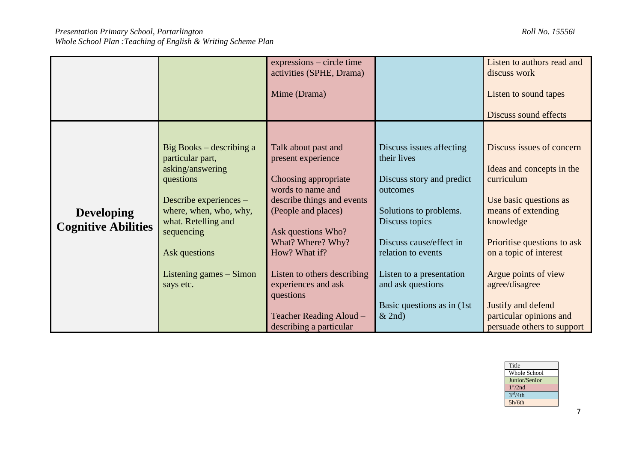|                                                 |                                                             | expressions – circle time<br>activities (SPHE, Drama)           |                                               | Listen to authors read and<br>discuss work                                  |
|-------------------------------------------------|-------------------------------------------------------------|-----------------------------------------------------------------|-----------------------------------------------|-----------------------------------------------------------------------------|
|                                                 |                                                             | Mime (Drama)                                                    |                                               | Listen to sound tapes                                                       |
|                                                 |                                                             |                                                                 |                                               | Discuss sound effects                                                       |
|                                                 |                                                             |                                                                 |                                               |                                                                             |
|                                                 | Big Books – describing a<br>particular part,                | Talk about past and<br>present experience                       | Discuss issues affecting<br>their lives       | Discuss issues of concern                                                   |
|                                                 | asking/answering<br>questions                               | Choosing appropriate                                            | Discuss story and predict                     | Ideas and concepts in the<br>curriculum                                     |
|                                                 | Describe experiences -                                      | words to name and<br>describe things and events                 | outcomes                                      | Use basic questions as                                                      |
| <b>Developing</b><br><b>Cognitive Abilities</b> | where, when, who, why,<br>what. Retelling and<br>sequencing | (People and places)<br>Ask questions Who?                       | Solutions to problems.<br>Discuss topics      | means of extending<br>knowledge                                             |
|                                                 | Ask questions                                               | What? Where? Why?<br>How? What if?                              | Discuss cause/effect in<br>relation to events | Prioritise questions to ask<br>on a topic of interest                       |
|                                                 | Listening games – Simon<br>says etc.                        | Listen to others describing<br>experiences and ask<br>questions | Listen to a presentation<br>and ask questions | Argue points of view<br>agree/disagree                                      |
|                                                 |                                                             | <b>Teacher Reading Aloud -</b><br>describing a particular       | Basic questions as in (1st)<br>& 2nd)         | Justify and defend<br>particular opinions and<br>persuade others to support |

| Title                |
|----------------------|
| <b>Whole School</b>  |
| Junior/Senior        |
| 1 <sup>st</sup> /2nd |
| 3 <sup>rd</sup> /4th |
| 5h/6th               |
|                      |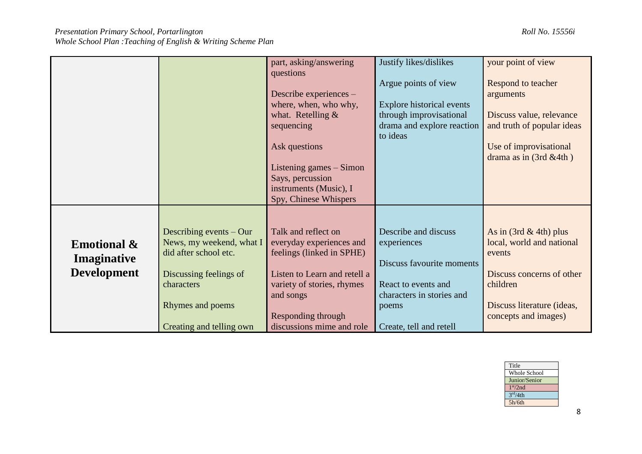| Whole School Plan : Teaching of English & Writing Scheme Plan |  |
|---------------------------------------------------------------|--|
|---------------------------------------------------------------|--|

|                        |                           | part, asking/answering                          | Justify likes/dislikes                 | your point of view         |
|------------------------|---------------------------|-------------------------------------------------|----------------------------------------|----------------------------|
|                        |                           | questions                                       | Argue points of view                   | Respond to teacher         |
|                        |                           | Describe experiences –                          |                                        | arguments                  |
|                        |                           | where, when, who why,                           | Explore historical events              |                            |
|                        |                           | what. Retelling $&$                             | through improvisational                | Discuss value, relevance   |
|                        |                           | sequencing                                      | drama and explore reaction<br>to ideas | and truth of popular ideas |
|                        |                           | Ask questions                                   |                                        | Use of improvisational     |
|                        |                           |                                                 |                                        | drama as in (3rd &4th)     |
|                        |                           | Listening games – Simon                         |                                        |                            |
|                        |                           | Says, percussion                                |                                        |                            |
|                        |                           | instruments (Music), I<br>Spy, Chinese Whispers |                                        |                            |
|                        |                           |                                                 |                                        |                            |
|                        |                           |                                                 |                                        |                            |
|                        | Describing events $-$ Our | Talk and reflect on                             | Describe and discuss                   | As in $(3rd \& 4th)$ plus  |
| <b>Emotional &amp;</b> | News, my weekend, what I  | everyday experiences and                        | experiences                            | local, world and national  |
| Imaginative            | did after school etc.     | feelings (linked in SPHE)                       |                                        | events                     |
|                        |                           |                                                 | Discuss favourite moments              |                            |
| <b>Development</b>     | Discussing feelings of    | Listen to Learn and retell a                    |                                        | Discuss concerns of other  |
| characters             |                           | variety of stories, rhymes                      | React to events and                    | children                   |
|                        | Rhymes and poems          | and songs                                       | characters in stories and              | Discuss literature (ideas, |
|                        |                           | Responding through                              | poems                                  | concepts and images)       |
|                        | Creating and telling own  | discussions mime and role                       | Create, tell and retell                |                            |

| Title                |
|----------------------|
| Whole School         |
| Junior/Senior        |
| 1 <sup>st</sup> /2nd |
| 3 <sup>rd</sup> /4th |
| 5h/6th               |
|                      |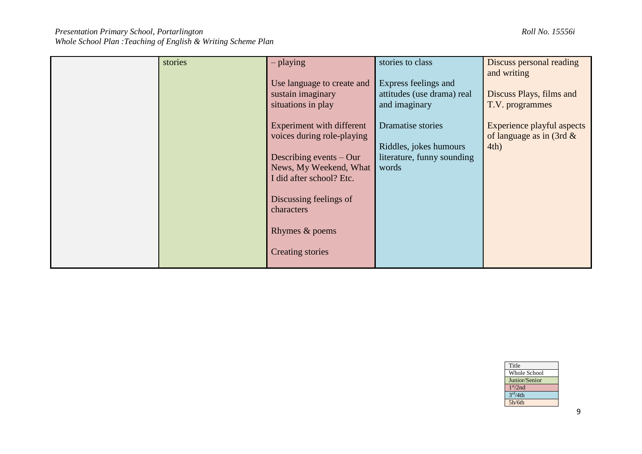| stories | $-$ playing<br>Use language to create and<br>sustain imaginary<br>situations in play                                                                                                                                            | stories to class<br>Express feelings and<br>attitudes (use drama) real<br>and imaginary | Discuss personal reading<br>and writing<br>Discuss Plays, films and<br>T.V. programmes |
|---------|---------------------------------------------------------------------------------------------------------------------------------------------------------------------------------------------------------------------------------|-----------------------------------------------------------------------------------------|----------------------------------------------------------------------------------------|
|         | Experiment with different<br>voices during role-playing<br>Describing events $-$ Our<br>News, My Weekend, What<br>I did after school? Etc.<br>Discussing feelings of<br>characters<br>Rhymes & poems<br><b>Creating stories</b> | Dramatise stories<br>Riddles, jokes humours<br>literature, funny sounding<br>words      | Experience playful aspects<br>of language as in $(3rd \& )$<br>4th)                    |

| Title                |
|----------------------|
| <b>Whole School</b>  |
| Junior/Senior        |
| 1 <sup>st</sup> /2nd |
| 3 <sup>rd</sup> /4th |
| 5h/6th               |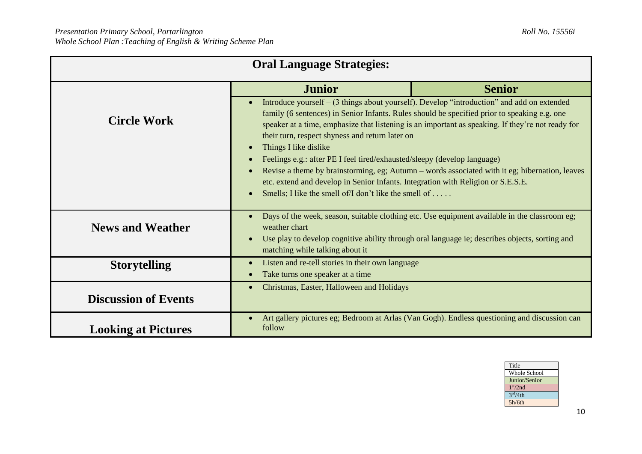| <b>Oral Language Strategies:</b>                                                                                                                                                                                                                                                            |                                                                                                                                                                                                                                                                                                                                                                                                                                                                                                                                                                                                                                                                                                                                                            |               |  |  |
|---------------------------------------------------------------------------------------------------------------------------------------------------------------------------------------------------------------------------------------------------------------------------------------------|------------------------------------------------------------------------------------------------------------------------------------------------------------------------------------------------------------------------------------------------------------------------------------------------------------------------------------------------------------------------------------------------------------------------------------------------------------------------------------------------------------------------------------------------------------------------------------------------------------------------------------------------------------------------------------------------------------------------------------------------------------|---------------|--|--|
|                                                                                                                                                                                                                                                                                             | <b>Junior</b>                                                                                                                                                                                                                                                                                                                                                                                                                                                                                                                                                                                                                                                                                                                                              | <b>Senior</b> |  |  |
| <b>Circle Work</b>                                                                                                                                                                                                                                                                          | Introduce yourself – (3 things about yourself). Develop "introduction" and add on extended<br>family (6 sentences) in Senior Infants. Rules should be specified prior to speaking e.g. one<br>speaker at a time, emphasize that listening is an important as speaking. If they're not ready for<br>their turn, respect shyness and return later on<br>Things I like dislike<br>$\bullet$<br>Feelings e.g.: after PE I feel tired/exhausted/sleepy (develop language)<br>$\bullet$<br>Revise a theme by brainstorming, eg; Autumn – words associated with it eg; hibernation, leaves<br>$\bullet$<br>etc. extend and develop in Senior Infants. Integration with Religion or S.E.S.E.<br>Smells; I like the smell of/I don't like the smell of<br>$\bullet$ |               |  |  |
| Days of the week, season, suitable clothing etc. Use equipment available in the classroom eg;<br><b>News and Weather</b><br>weather chart<br>Use play to develop cognitive ability through oral language ie; describes objects, sorting and<br>$\bullet$<br>matching while talking about it |                                                                                                                                                                                                                                                                                                                                                                                                                                                                                                                                                                                                                                                                                                                                                            |               |  |  |
| <b>Storytelling</b>                                                                                                                                                                                                                                                                         | Listen and re-tell stories in their own language<br>$\bullet$<br>Take turns one speaker at a time                                                                                                                                                                                                                                                                                                                                                                                                                                                                                                                                                                                                                                                          |               |  |  |
| Christmas, Easter, Halloween and Holidays<br>$\bullet$<br><b>Discussion of Events</b>                                                                                                                                                                                                       |                                                                                                                                                                                                                                                                                                                                                                                                                                                                                                                                                                                                                                                                                                                                                            |               |  |  |
| <b>Looking at Pictures</b>                                                                                                                                                                                                                                                                  | Art gallery pictures eg; Bedroom at Arlas (Van Gogh). Endless questioning and discussion can<br>follow                                                                                                                                                                                                                                                                                                                                                                                                                                                                                                                                                                                                                                                     |               |  |  |

| Title                |
|----------------------|
| Whole School         |
| Junior/Senior        |
| 1 <sup>st</sup> /2nd |
| 3 <sup>rd</sup> /4th |
| 5h/6th               |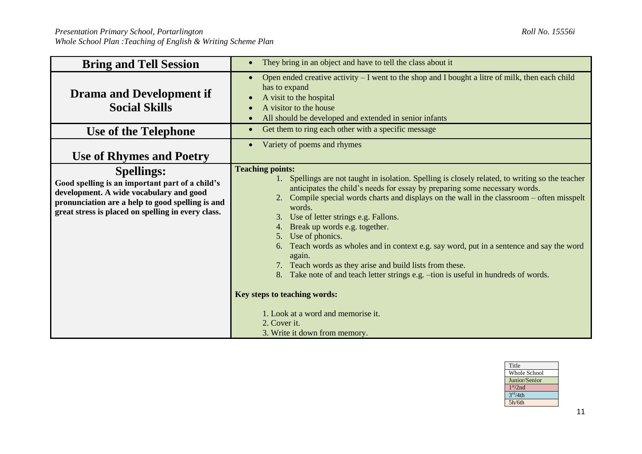| <b>Bring and Tell Session</b>                                                                                                                                                                                             | They bring in an object and have to tell the class about it<br>$\bullet$                                                                                                                                                                                                                                                                                                                                                                                                                                                                                                                                                                                                                                                                                                                                     |  |  |
|---------------------------------------------------------------------------------------------------------------------------------------------------------------------------------------------------------------------------|--------------------------------------------------------------------------------------------------------------------------------------------------------------------------------------------------------------------------------------------------------------------------------------------------------------------------------------------------------------------------------------------------------------------------------------------------------------------------------------------------------------------------------------------------------------------------------------------------------------------------------------------------------------------------------------------------------------------------------------------------------------------------------------------------------------|--|--|
| <b>Drama and Development if</b><br><b>Social Skills</b>                                                                                                                                                                   | Open ended creative activity - I went to the shop and I bought a litre of milk, then each child<br>$\bullet$<br>has to expand<br>A visit to the hospital<br>$\bullet$<br>A visitor to the house<br>All should be developed and extended in senior infants<br>$\bullet$                                                                                                                                                                                                                                                                                                                                                                                                                                                                                                                                       |  |  |
| Use of the Telephone                                                                                                                                                                                                      | Get them to ring each other with a specific message<br>$\bullet$                                                                                                                                                                                                                                                                                                                                                                                                                                                                                                                                                                                                                                                                                                                                             |  |  |
| <b>Use of Rhymes and Poetry</b>                                                                                                                                                                                           | Variety of poems and rhymes<br>$\bullet$                                                                                                                                                                                                                                                                                                                                                                                                                                                                                                                                                                                                                                                                                                                                                                     |  |  |
| <b>Spellings:</b><br>Good spelling is an important part of a child's<br>development. A wide vocabulary and good<br>pronunciation are a help to good spelling is and<br>great stress is placed on spelling in every class. | <b>Teaching points:</b><br>Spellings are not taught in isolation. Spelling is closely related, to writing so the teacher<br>anticipates the child's needs for essay by preparing some necessary words.<br>2. Compile special words charts and displays on the wall in the classroom - often misspelt<br>words.<br>3. Use of letter strings e.g. Fallons.<br>Break up words e.g. together.<br>4.<br>Use of phonics.<br>5.<br>Teach words as wholes and in context e.g. say word, put in a sentence and say the word<br>6.<br>again.<br>7. Teach words as they arise and build lists from these.<br>8. Take note of and teach letter strings e.g. -tion is useful in hundreds of words.<br>Key steps to teaching words:<br>1. Look at a word and memorise it.<br>2. Cover it.<br>3. Write it down from memory. |  |  |



11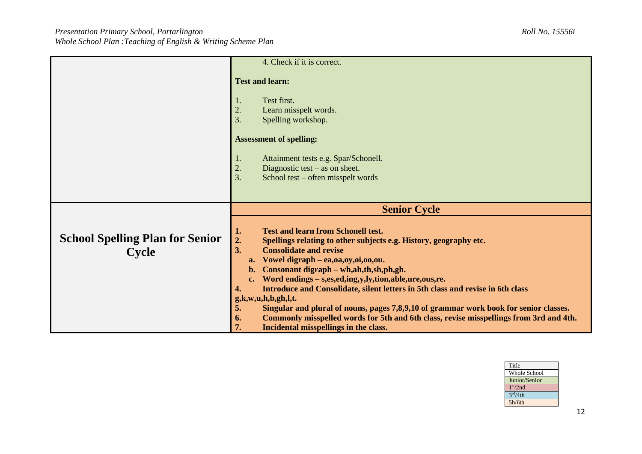|                                                        | 4. Check if it is correct.                                                                                                                                                                                                                                                                                                                                                                                                                                                                                                     |  |  |
|--------------------------------------------------------|--------------------------------------------------------------------------------------------------------------------------------------------------------------------------------------------------------------------------------------------------------------------------------------------------------------------------------------------------------------------------------------------------------------------------------------------------------------------------------------------------------------------------------|--|--|
|                                                        | <b>Test and learn:</b><br>Test first.<br>1.                                                                                                                                                                                                                                                                                                                                                                                                                                                                                    |  |  |
|                                                        | 2.<br>Learn misspelt words.<br>3.<br>Spelling workshop.                                                                                                                                                                                                                                                                                                                                                                                                                                                                        |  |  |
|                                                        | <b>Assessment of spelling:</b>                                                                                                                                                                                                                                                                                                                                                                                                                                                                                                 |  |  |
|                                                        | Attainment tests e.g. Spar/Schonell.<br>1.                                                                                                                                                                                                                                                                                                                                                                                                                                                                                     |  |  |
|                                                        | 2.<br>Diagnostic test $-$ as on sheet.<br>3.<br>School test – often misspelt words                                                                                                                                                                                                                                                                                                                                                                                                                                             |  |  |
|                                                        |                                                                                                                                                                                                                                                                                                                                                                                                                                                                                                                                |  |  |
|                                                        | <b>Senior Cycle</b>                                                                                                                                                                                                                                                                                                                                                                                                                                                                                                            |  |  |
|                                                        | <b>Test and learn from Schonell test.</b>                                                                                                                                                                                                                                                                                                                                                                                                                                                                                      |  |  |
| <b>School Spelling Plan for Senior</b><br><b>Cycle</b> | 1.<br>2.<br>Spellings relating to other subjects e.g. History, geography etc.<br>3.<br><b>Consolidate and revise</b><br>Vowel digraph - ea, 0a, 0y, 0i, 00, 0u.<br>a.<br>Consonant digraph – wh, ah, th, sh, ph, gh.<br>$\mathbf{b}$ .<br>Word endings - s,es,ed,ing,y,ly,tion,able,ure,ous,re.<br>$c_{\bullet}$<br>Introduce and Consolidate, silent letters in 5th class and revise in 6th class<br>4.<br>g,k,w,u,h,b,gh,l,t.<br>5.<br>Singular and plural of nouns, pages 7,8,9,10 of grammar work book for senior classes. |  |  |

| Title                |
|----------------------|
| <b>Whole School</b>  |
| Junior/Senior        |
| 1 <sup>st</sup> /2nd |
| 3 <sup>rd</sup> /4th |
| 5h/6th               |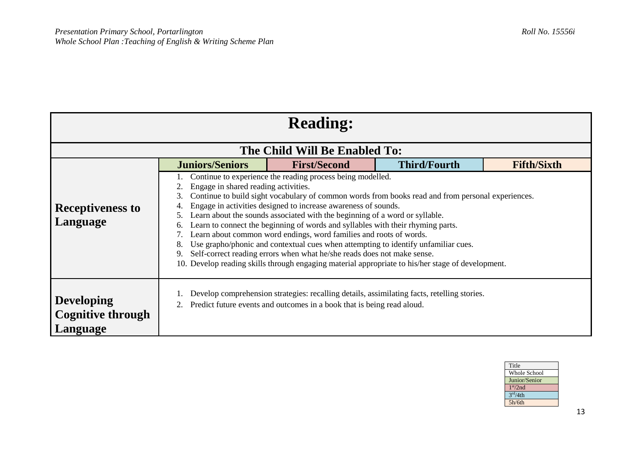| <b>Reading:</b>                                                                                                                                                                                                                                                                                                                                                                                                                                                                                                                                                                                                                                                                                                                                                                                                                                        |                        |                                                                                                                                                                       |                     |                    |  |
|--------------------------------------------------------------------------------------------------------------------------------------------------------------------------------------------------------------------------------------------------------------------------------------------------------------------------------------------------------------------------------------------------------------------------------------------------------------------------------------------------------------------------------------------------------------------------------------------------------------------------------------------------------------------------------------------------------------------------------------------------------------------------------------------------------------------------------------------------------|------------------------|-----------------------------------------------------------------------------------------------------------------------------------------------------------------------|---------------------|--------------------|--|
|                                                                                                                                                                                                                                                                                                                                                                                                                                                                                                                                                                                                                                                                                                                                                                                                                                                        |                        | The Child Will Be Enabled To:                                                                                                                                         |                     |                    |  |
|                                                                                                                                                                                                                                                                                                                                                                                                                                                                                                                                                                                                                                                                                                                                                                                                                                                        | <b>Juniors/Seniors</b> | <b>First/Second</b>                                                                                                                                                   | <b>Third/Fourth</b> | <b>Fifth/Sixth</b> |  |
| Continue to experience the reading process being modelled.<br>Engage in shared reading activities.<br>Continue to build sight vocabulary of common words from books read and from personal experiences.<br>3.<br>Engage in activities designed to increase awareness of sounds.<br><b>Receptiveness to</b><br>Learn about the sounds associated with the beginning of a word or syllable.<br>5.<br>Language<br>Learn to connect the beginning of words and syllables with their rhyming parts.<br>6.<br>Learn about common word endings, word families and roots of words.<br>Use grapho/phonic and contextual cues when attempting to identify unfamiliar cues.<br>Self-correct reading errors when what he/she reads does not make sense.<br>9.<br>10. Develop reading skills through engaging material appropriate to his/her stage of development. |                        |                                                                                                                                                                       |                     |                    |  |
| <b>Developing</b><br><b>Cognitive through</b><br>Language                                                                                                                                                                                                                                                                                                                                                                                                                                                                                                                                                                                                                                                                                                                                                                                              |                        | Develop comprehension strategies: recalling details, assimilating facts, retelling stories.<br>Predict future events and outcomes in a book that is being read aloud. |                     |                    |  |

| Title                |
|----------------------|
| <b>Whole School</b>  |
| Junior/Senior        |
| 1 <sup>st</sup> /2nd |
| 3 <sup>rd</sup> /4th |
| 5h/6th               |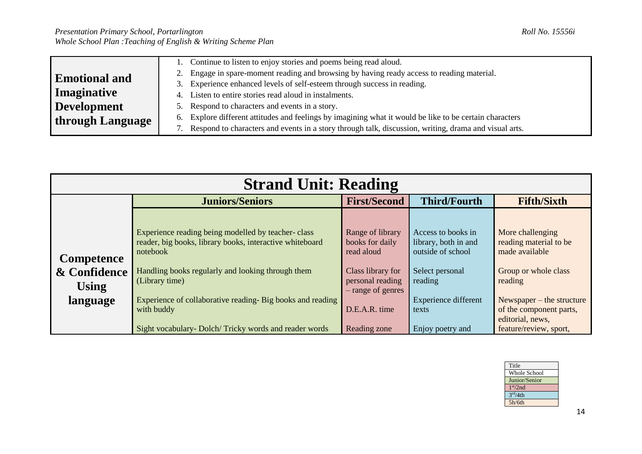|                      | Continue to listen to enjoy stories and poems being read aloud.                                         |
|----------------------|---------------------------------------------------------------------------------------------------------|
| <b>Emotional and</b> | Engage in spare-moment reading and browsing by having ready access to reading material.                 |
|                      | Experience enhanced levels of self-esteem through success in reading.                                   |
| Imaginative          | Listen to entire stories read aloud in instalments.                                                     |
| Development          | Respond to characters and events in a story.                                                            |
| through Language     | 6. Explore different attitudes and feelings by imagining what it would be like to be certain characters |
|                      | Respond to characters and events in a story through talk, discussion, writing, drama and visual arts.   |

|                                                               | <b>Strand Unit: Reading</b>                                                                                                                                                                                                                                                   |                                                                                                                                  |                                                                                                                                |                                                                                                                                                                               |  |
|---------------------------------------------------------------|-------------------------------------------------------------------------------------------------------------------------------------------------------------------------------------------------------------------------------------------------------------------------------|----------------------------------------------------------------------------------------------------------------------------------|--------------------------------------------------------------------------------------------------------------------------------|-------------------------------------------------------------------------------------------------------------------------------------------------------------------------------|--|
|                                                               | <b>Juniors/Seniors</b>                                                                                                                                                                                                                                                        | <b>First/Second</b>                                                                                                              | <b>Third/Fourth</b>                                                                                                            | <b>Fifth/Sixth</b>                                                                                                                                                            |  |
| <b>Competence</b><br>& Confidence<br><b>Using</b><br>language | Experience reading being modelled by teacher-class<br>reader, big books, library books, interactive whiteboard<br>notebook<br>Handling books regularly and looking through them<br>(Library time)<br>Experience of collaborative reading- Big books and reading<br>with buddy | Range of library<br>books for daily<br>read aloud<br>Class library for<br>personal reading<br>- range of genres<br>D.E.A.R. time | Access to books in<br>library, both in and<br>outside of school<br>Select personal<br>reading<br>Experience different<br>texts | More challenging<br>reading material to be<br>made available<br>Group or whole class<br>reading<br>Newspaper $-$ the structure<br>of the component parts,<br>editorial, news, |  |
|                                                               | Sight vocabulary- Dolch/Tricky words and reader words                                                                                                                                                                                                                         | Reading zone                                                                                                                     | Enjoy poetry and                                                                                                               | feature/review, sport,                                                                                                                                                        |  |

| Title                |
|----------------------|
| <b>Whole School</b>  |
| Junior/Senior        |
| 1 <sup>st</sup> /2nd |
| 3 <sup>rd</sup> /4th |
| 5h/6th               |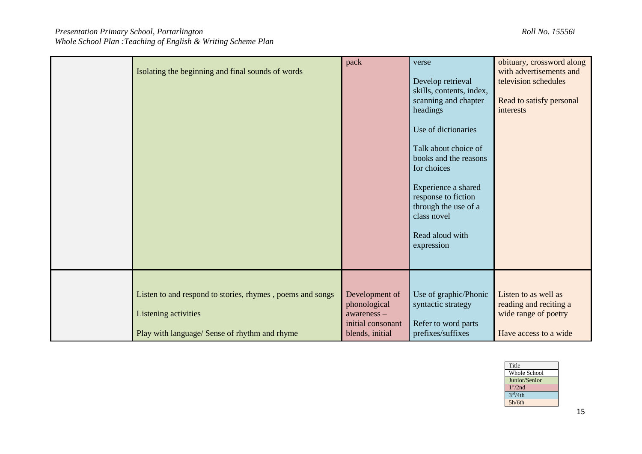| Isolating the beginning and final sounds of words                                                                                  | pack                                                                                    | verse<br>Develop retrieval<br>skills, contents, index,<br>scanning and chapter<br>headings<br>Use of dictionaries<br>Talk about choice of<br>books and the reasons<br>for choices<br>Experience a shared<br>response to fiction<br>through the use of a<br>class novel<br>Read aloud with<br>expression | obituary, crossword along<br>with advertisements and<br>television schedules<br>Read to satisfy personal<br>interests |
|------------------------------------------------------------------------------------------------------------------------------------|-----------------------------------------------------------------------------------------|---------------------------------------------------------------------------------------------------------------------------------------------------------------------------------------------------------------------------------------------------------------------------------------------------------|-----------------------------------------------------------------------------------------------------------------------|
| Listen to and respond to stories, rhymes, poems and songs<br>Listening activities<br>Play with language/ Sense of rhythm and rhyme | Development of<br>phonological<br>$awareness -$<br>initial consonant<br>blends, initial | Use of graphic/Phonic<br>syntactic strategy<br>Refer to word parts<br>prefixes/suffixes                                                                                                                                                                                                                 | Listen to as well as<br>reading and reciting a<br>wide range of poetry<br>Have access to a wide                       |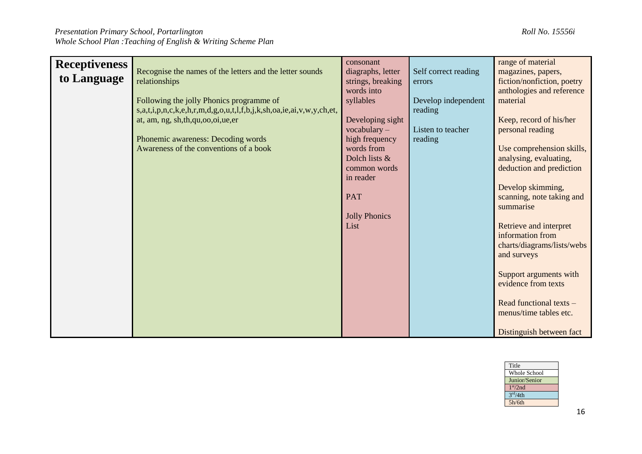| <b>Receptiveness</b> |                                                                      | consonant            |                      | range of material          |
|----------------------|----------------------------------------------------------------------|----------------------|----------------------|----------------------------|
|                      | Recognise the names of the letters and the letter sounds             | diagraphs, letter    | Self correct reading | magazines, papers,         |
| to Language          | relationships                                                        | strings, breaking    | errors               | fiction/nonfiction, poetry |
|                      |                                                                      | words into           |                      | anthologies and reference  |
|                      | Following the jolly Phonics programme of                             | syllables            | Develop independent  | material                   |
|                      | s,a,t,i,p,n,c,k,e,h,r,m,d,g,o,u,t,l,f,b,j,k,sh,oa,ie,ai,v,w,y,ch,et, |                      | reading              |                            |
|                      | at, am, ng, sh, th, qu, oo, oi, ue, er                               | Developing sight     |                      | Keep, record of his/her    |
|                      |                                                                      | $vocabulary -$       | Listen to teacher    | personal reading           |
|                      | Phonemic awareness: Decoding words                                   | high frequency       | reading              |                            |
|                      | Awareness of the conventions of a book                               | words from           |                      | Use comprehension skills,  |
|                      |                                                                      | Dolch lists &        |                      | analysing, evaluating,     |
|                      |                                                                      | common words         |                      | deduction and prediction   |
|                      |                                                                      | in reader            |                      |                            |
|                      |                                                                      |                      |                      | Develop skimming,          |
|                      |                                                                      | <b>PAT</b>           |                      | scanning, note taking and  |
|                      |                                                                      |                      |                      | summarise                  |
|                      |                                                                      | <b>Jolly Phonics</b> |                      |                            |
|                      |                                                                      | List                 |                      | Retrieve and interpret     |
|                      |                                                                      |                      |                      | information from           |
|                      |                                                                      |                      |                      | charts/diagrams/lists/webs |
|                      |                                                                      |                      |                      | and surveys                |
|                      |                                                                      |                      |                      |                            |
|                      |                                                                      |                      |                      | Support arguments with     |
|                      |                                                                      |                      |                      | evidence from texts        |
|                      |                                                                      |                      |                      |                            |
|                      |                                                                      |                      |                      | Read functional texts -    |
|                      |                                                                      |                      |                      | menus/time tables etc.     |
|                      |                                                                      |                      |                      |                            |
|                      |                                                                      |                      |                      | Distinguish between fact   |

| Title                |  |
|----------------------|--|
| <b>Whole School</b>  |  |
| Junior/Senior        |  |
| 1 <sup>st</sup> /2nd |  |
| 3 <sup>rd</sup> /4th |  |
| 5h/6th               |  |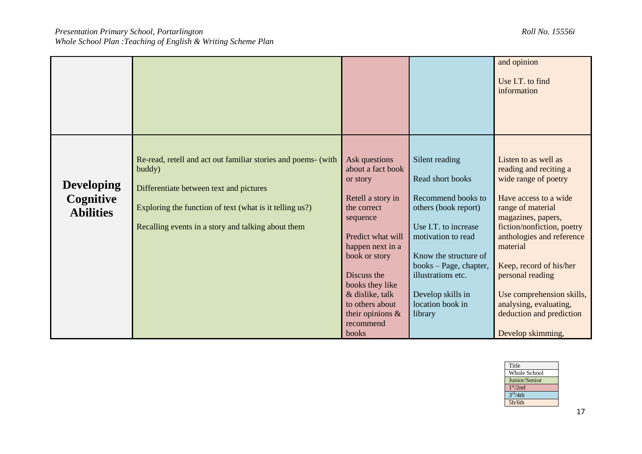|                                                    |                                                                                                                                                                                                                                     |                                                                                                                                                                                                                                                                               |                                                                                                                                                                                                                                                             | and opinion<br>Use I.T. to find<br>information                                                                                                                                                                                                                                                                                                                           |
|----------------------------------------------------|-------------------------------------------------------------------------------------------------------------------------------------------------------------------------------------------------------------------------------------|-------------------------------------------------------------------------------------------------------------------------------------------------------------------------------------------------------------------------------------------------------------------------------|-------------------------------------------------------------------------------------------------------------------------------------------------------------------------------------------------------------------------------------------------------------|--------------------------------------------------------------------------------------------------------------------------------------------------------------------------------------------------------------------------------------------------------------------------------------------------------------------------------------------------------------------------|
| <b>Developing</b><br>Cognitive<br><b>Abilities</b> | Re-read, retell and act out familiar stories and poems- (with<br>buddy)<br>Differentiate between text and pictures<br>Exploring the function of text (what is it telling us?)<br>Recalling events in a story and talking about them | Ask questions<br>about a fact book<br>or story<br>Retell a story in<br>the correct<br>sequence<br>Predict what will<br>happen next in a<br>book or story<br>Discuss the<br>books they like<br>& dislike, talk<br>to others about<br>their opinions $\&$<br>recommend<br>books | Silent reading<br>Read short books<br>Recommend books to<br>others (book report)<br>Use I.T. to increase<br>motivation to read<br>Know the structure of<br>books - Page, chapter,<br>illustrations etc.<br>Develop skills in<br>location book in<br>library | Listen to as well as<br>reading and reciting a<br>wide range of poetry<br>Have access to a wide<br>range of material<br>magazines, papers,<br>fiction/nonfiction, poetry<br>anthologies and reference<br>material<br>Keep, record of his/her<br>personal reading<br>Use comprehension skills,<br>analysing, evaluating,<br>deduction and prediction<br>Develop skimming, |

| Title                |
|----------------------|
| Whole School         |
| Junior/Senior        |
| 1 <sup>st</sup> /2nd |
| 3 <sup>rd</sup> /4th |
| 5h/6th               |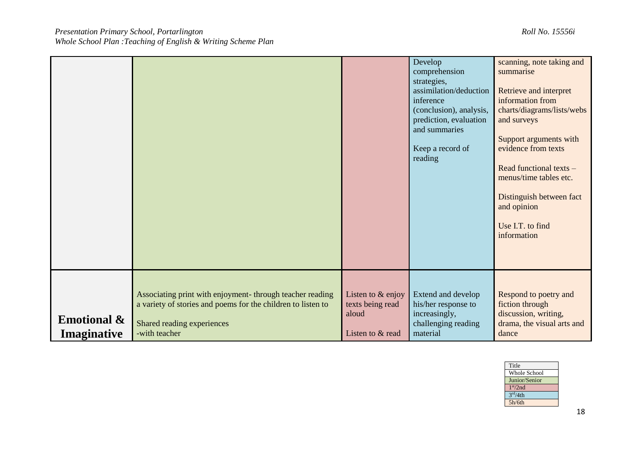|                                              |                                                                                                                                                                          |                                                                      | Develop<br>comprehension<br>strategies,<br>assimilation/deduction<br>inference<br>(conclusion), analysis,<br>prediction, evaluation<br>and summaries<br>Keep a record of<br>reading | scanning, note taking and<br>summarise<br>Retrieve and interpret<br>information from<br>charts/diagrams/lists/webs<br>and surveys<br>Support arguments with<br>evidence from texts<br>Read functional texts -<br>menus/time tables etc.<br>Distinguish between fact<br>and opinion<br>Use I.T. to find<br>information |
|----------------------------------------------|--------------------------------------------------------------------------------------------------------------------------------------------------------------------------|----------------------------------------------------------------------|-------------------------------------------------------------------------------------------------------------------------------------------------------------------------------------|-----------------------------------------------------------------------------------------------------------------------------------------------------------------------------------------------------------------------------------------------------------------------------------------------------------------------|
| <b>Emotional &amp;</b><br><b>Imaginative</b> | Associating print with enjoyment- through teacher reading<br>a variety of stories and poems for the children to listen to<br>Shared reading experiences<br>-with teacher | Listen to $&$ enjoy<br>texts being read<br>aloud<br>Listen to & read | Extend and develop<br>his/her response to<br>increasingly,<br>challenging reading<br>material                                                                                       | Respond to poetry and<br>fiction through<br>discussion, writing,<br>drama, the visual arts and<br>dance                                                                                                                                                                                                               |

| Title                |
|----------------------|
| Whole School         |
| Junior/Senior        |
| 1 <sup>st</sup> /2nd |
| 3 <sup>rd</sup> /4th |
| 5h/6th               |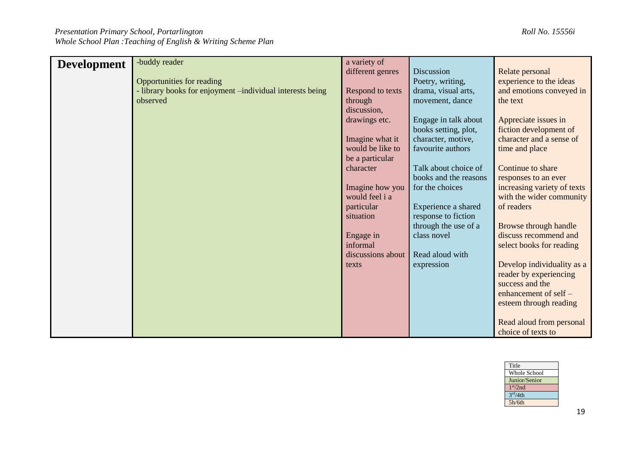| <b>Development</b> | -buddy reader                                             | a variety of      |                       |                             |
|--------------------|-----------------------------------------------------------|-------------------|-----------------------|-----------------------------|
|                    |                                                           | different genres  | Discussion            | Relate personal             |
|                    | Opportunities for reading                                 |                   | Poetry, writing,      | experience to the ideas     |
|                    |                                                           |                   |                       |                             |
|                    | - library books for enjoyment -individual interests being | Respond to texts  | drama, visual arts,   | and emotions conveyed in    |
|                    | observed                                                  | through           | movement, dance       | the text                    |
|                    |                                                           | discussion,       |                       |                             |
|                    |                                                           | drawings etc.     | Engage in talk about  | Appreciate issues in        |
|                    |                                                           |                   | books setting, plot,  | fiction development of      |
|                    |                                                           | Imagine what it   | character, motive,    | character and a sense of    |
|                    |                                                           | would be like to  | favourite authors     | time and place              |
|                    |                                                           | be a particular   |                       |                             |
|                    |                                                           | character         | Talk about choice of  | Continue to share           |
|                    |                                                           |                   | books and the reasons | responses to an ever        |
|                    |                                                           | Imagine how you   | for the choices       | increasing variety of texts |
|                    |                                                           | would feel i a    |                       | with the wider community    |
|                    |                                                           | particular        | Experience a shared   | of readers                  |
|                    |                                                           | situation         | response to fiction   |                             |
|                    |                                                           |                   | through the use of a  | Browse through handle       |
|                    |                                                           | Engage in         | class novel           | discuss recommend and       |
|                    |                                                           | informal          |                       | select books for reading    |
|                    |                                                           | discussions about | Read aloud with       |                             |
|                    |                                                           | texts             | expression            | Develop individuality as a  |
|                    |                                                           |                   |                       | reader by experiencing      |
|                    |                                                           |                   |                       |                             |
|                    |                                                           |                   |                       | success and the             |
|                    |                                                           |                   |                       | enhancement of self -       |
|                    |                                                           |                   |                       | esteem through reading      |
|                    |                                                           |                   |                       |                             |
|                    |                                                           |                   |                       | Read aloud from personal    |
|                    |                                                           |                   |                       | choice of texts to          |

| Title                |
|----------------------|
| Whole School         |
| Junior/Senior        |
| 1 <sup>st</sup> /2nd |
| 3 <sup>rd</sup> /4th |
| 5h/6th               |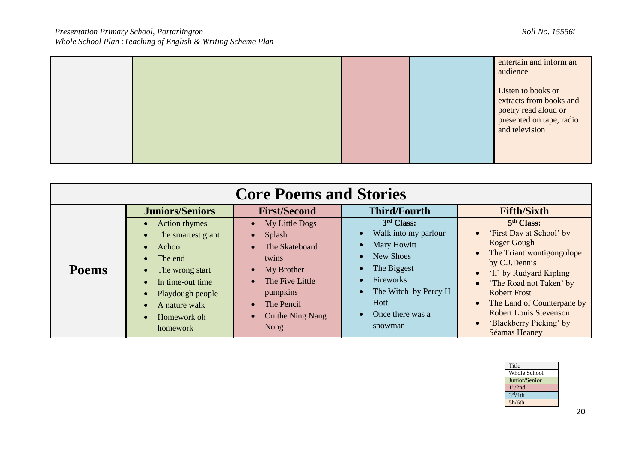|  |  | entertain and inform an<br>audience                                                                                 |
|--|--|---------------------------------------------------------------------------------------------------------------------|
|  |  | Listen to books or<br>extracts from books and<br>poetry read aloud or<br>presented on tape, radio<br>and television |

|              | <b>Core Poems and Stories</b>                                                                                                                                                            |                                                                                                                                            |                                                                                                                                                                              |                                                                                                                                                                                                                                                                                                                       |  |  |  |
|--------------|------------------------------------------------------------------------------------------------------------------------------------------------------------------------------------------|--------------------------------------------------------------------------------------------------------------------------------------------|------------------------------------------------------------------------------------------------------------------------------------------------------------------------------|-----------------------------------------------------------------------------------------------------------------------------------------------------------------------------------------------------------------------------------------------------------------------------------------------------------------------|--|--|--|
|              | <b>Juniors/Seniors</b>                                                                                                                                                                   | <b>First/Second</b>                                                                                                                        | <b>Third/Fourth</b>                                                                                                                                                          | <b>Fifth/Sixth</b>                                                                                                                                                                                                                                                                                                    |  |  |  |
| <b>Poems</b> | Action rhymes<br>$\bullet$<br>The smartest giant<br>Achoo<br>The end<br>The wrong start<br>In time-out time<br>Playdough people<br>A nature walk<br>Homework oh<br>$\bullet$<br>homework | My Little Dogs<br>Splash<br>The Skateboard<br>twins<br>My Brother<br>The Five Little<br>pumpkins<br>The Pencil<br>On the Ning Nang<br>Nong | 3 <sup>rd</sup> Class:<br>Walk into my parlour<br>Mary Howitt<br>New Shoes<br>The Biggest<br>Fireworks<br>The Witch by Percy H<br><b>Hott</b><br>Once there was a<br>snowman | 5 <sup>th</sup> Class:<br>'First Day at School' by<br><b>Roger Gough</b><br>The Triantiwontigongolope<br>by C.J.Dennis<br>'If' by Rudyard Kipling<br>'The Road not Taken' by<br><b>Robert Frost</b><br>The Land of Counterpane by<br><b>Robert Louis Stevenson</b><br>'Blackberry Picking' by<br><b>Séamas Heaney</b> |  |  |  |

| Title                |
|----------------------|
| Whole School         |
| Junior/Senior        |
| 1 <sup>st</sup> /2nd |
| 3 <sup>rd</sup> /4th |
| 5h/6th               |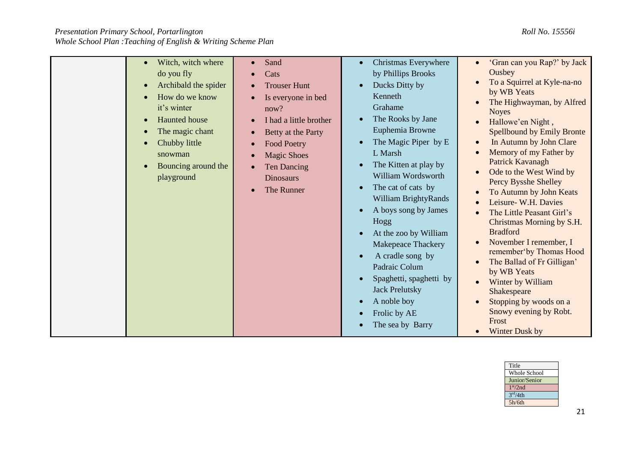| Witch, witch where<br>do you fly<br>Archibald the spider<br>How do we know<br>it's winter<br><b>Haunted</b> house<br>The magic chant<br>Chubby little<br>snowman<br>Bouncing around the<br>playground | Sand<br>Cats<br><b>Trouser Hunt</b><br>Is everyone in bed<br>now?<br>I had a little brother<br>Betty at the Party<br><b>Food Poetry</b><br><b>Magic Shoes</b><br><b>Ten Dancing</b><br><b>Dinosaurs</b><br>The Runner | Christmas Everywhere<br>by Phillips Brooks<br>Ducks Ditty by<br>$\bullet$<br>Kenneth<br>Grahame<br>The Rooks by Jane<br>Euphemia Browne<br>The Magic Piper by E<br>L Marsh<br>The Kitten at play by<br>William Wordsworth<br>The cat of cats by<br>William BrightyRands<br>A boys song by James<br>Hogg<br>At the zoo by William<br>Makepeace Thackery<br>A cradle song by<br>Padraic Colum<br>Spaghetti, spaghetti by<br><b>Jack Prelutsky</b><br>A noble boy<br>Frolic by AE<br>The sea by Barry | 'Gran can you Rap?' by Jack<br>Ousbey<br>To a Squirrel at Kyle-na-no<br>by WB Yeats<br>The Highwayman, by Alfred<br><b>Noyes</b><br>Hallowe'en Night,<br><b>Spellbound by Emily Bronte</b><br>In Autumn by John Clare<br>Memory of my Father by<br>Patrick Kavanagh<br>Ode to the West Wind by<br>Percy Bysshe Shelley<br>To Autumn by John Keats<br>Leisure- W.H. Davies<br>The Little Peasant Girl's<br>Christmas Morning by S.H.<br><b>Bradford</b><br>November I remember, I<br>remember'by Thomas Hood<br>The Ballad of Fr Gilligan'<br>by WB Yeats<br>Winter by William<br>Shakespeare<br>Stopping by woods on a<br>Snowy evening by Robt.<br>Frost<br>Winter Dusk by |
|-------------------------------------------------------------------------------------------------------------------------------------------------------------------------------------------------------|-----------------------------------------------------------------------------------------------------------------------------------------------------------------------------------------------------------------------|----------------------------------------------------------------------------------------------------------------------------------------------------------------------------------------------------------------------------------------------------------------------------------------------------------------------------------------------------------------------------------------------------------------------------------------------------------------------------------------------------|-----------------------------------------------------------------------------------------------------------------------------------------------------------------------------------------------------------------------------------------------------------------------------------------------------------------------------------------------------------------------------------------------------------------------------------------------------------------------------------------------------------------------------------------------------------------------------------------------------------------------------------------------------------------------------|

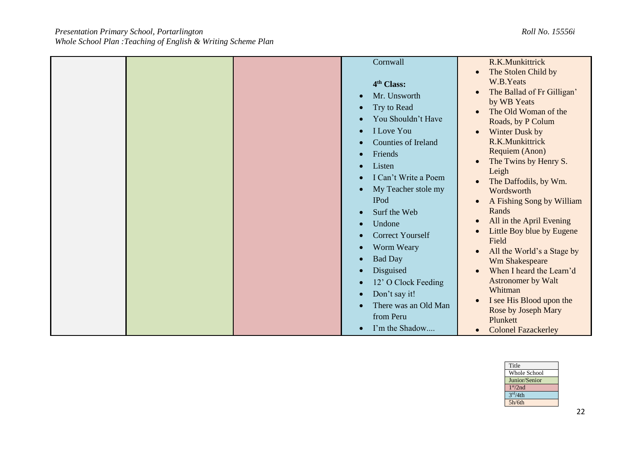|  | Cornwall                             | R.K.Munkittrick            |
|--|--------------------------------------|----------------------------|
|  |                                      | The Stolen Child by        |
|  | 4 <sup>th</sup> Class:               | W.B.Yeats                  |
|  | Mr. Unsworth                         | The Ballad of Fr Gilligan' |
|  |                                      | by WB Yeats                |
|  | Try to Read<br>$\bullet$             | The Old Woman of the       |
|  | You Shouldn't Have                   | Roads, by P Colum          |
|  | <b>I</b> Love You<br>$\bullet$       | Winter Dusk by             |
|  | <b>Counties of Ireland</b>           | R.K.Munkittrick            |
|  |                                      | Requiem (Anon)             |
|  | Friends<br>$\bullet$                 | The Twins by Henry S.      |
|  | Listen<br>$\bullet$                  | Leigh                      |
|  | I Can't Write a Poem                 | The Daffodils, by Wm.      |
|  | My Teacher stole my                  | Wordsworth                 |
|  | <b>IPod</b>                          |                            |
|  |                                      | A Fishing Song by William  |
|  | Surf the Web                         | Rands                      |
|  | Undone<br>$\bullet$                  | All in the April Evening   |
|  | <b>Correct Yourself</b><br>$\bullet$ | Little Boy blue by Eugene  |
|  | Worm Weary<br>$\bullet$              | Field                      |
|  |                                      | All the World's a Stage by |
|  | <b>Bad Day</b><br>$\bullet$          | Wm Shakespeare             |
|  | Disguised                            | When I heard the Learn'd   |
|  | 12' O Clock Feeding                  | <b>Astronomer by Walt</b>  |
|  | Don't say it!<br>$\bullet$           | Whitman                    |
|  | There was an Old Man                 | I see His Blood upon the   |
|  | from Peru                            | Rose by Joseph Mary        |
|  |                                      | Plunkett                   |
|  | I'm the Shadow                       | <b>Colonel Fazackerley</b> |

| Title                |
|----------------------|
| <b>Whole School</b>  |
| Junior/Senior        |
| 1 <sup>st</sup> /2nd |
| 3 <sup>rd</sup> /4th |
| 5h/6th               |
|                      |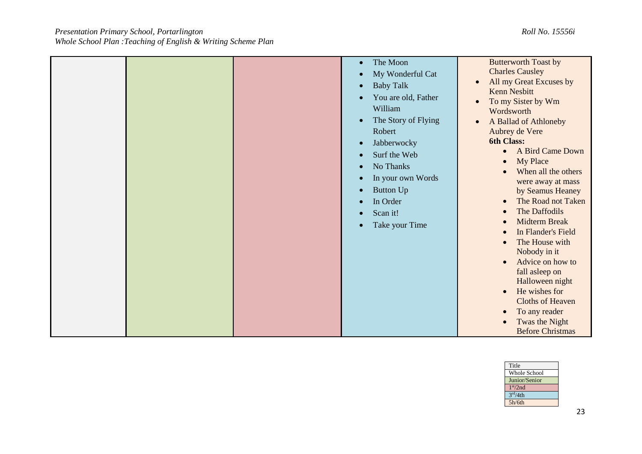|  | The Moon<br>$\bullet$<br>My Wonderful Cat<br>$\bullet$<br><b>Baby Talk</b><br>$\bullet$<br>You are old, Father<br>William<br>The Story of Flying<br>$\bullet$<br>Robert<br>Jabberwocky<br>$\bullet$<br>Surf the Web<br>$\bullet$<br>No Thanks<br>In your own Words | <b>Butterworth Toast by</b><br><b>Charles Causley</b><br>All my Great Excuses by<br><b>Kenn Nesbitt</b><br>To my Sister by Wm<br>$\bullet$<br>Wordsworth<br>A Ballad of Athloneby<br>Aubrey de Vere<br>6th Class:<br>A Bird Came Down<br>$\bullet$<br><b>My Place</b><br>$\bullet$<br>When all the others                                                                                       |
|--|--------------------------------------------------------------------------------------------------------------------------------------------------------------------------------------------------------------------------------------------------------------------|-------------------------------------------------------------------------------------------------------------------------------------------------------------------------------------------------------------------------------------------------------------------------------------------------------------------------------------------------------------------------------------------------|
|  | <b>Button Up</b><br>$\bullet$<br>In Order<br>$\bullet$<br>Scan it!<br>$\bullet$<br>Take your Time<br>$\bullet$                                                                                                                                                     | were away at mass<br>by Seamus Heaney<br>The Road not Taken<br>$\bullet$<br>The Daffodils<br>$\bullet$<br><b>Midterm Break</b><br>$\bullet$<br>In Flander's Field<br>$\bullet$<br>The House with<br>Nobody in it<br>Advice on how to<br>$\bullet$<br>fall asleep on<br>Halloween night<br>He wishes for<br>$\bullet$<br><b>Cloths of Heaven</b><br>To any reader<br>$\bullet$<br>Twas the Night |

| Title                |
|----------------------|
| <b>Whole School</b>  |
| Junior/Senior        |
| 1 <sup>st</sup> /2nd |
| 3 <sup>rd</sup> /4th |
| 5h/6th               |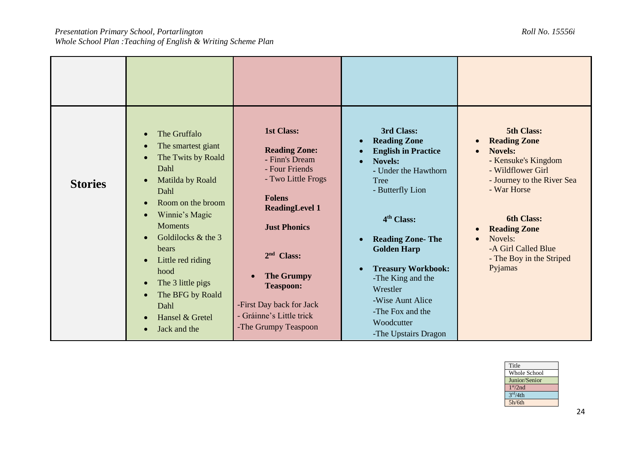| <b>Stories</b> | The Gruffalo<br>$\bullet$<br>The smartest giant<br>$\bullet$<br>The Twits by Roald<br>$\bullet$<br>Dahl<br>Matilda by Roald<br>$\bullet$<br>Dahl<br>Room on the broom<br>$\bullet$<br>Winnie's Magic<br>$\bullet$<br><b>Moments</b><br>Goldilocks & the 3<br>bears<br>Little red riding<br>$\bullet$<br>hood<br>The 3 little pigs<br>$\bullet$<br>The BFG by Roald<br>$\bullet$<br>Dahl<br>Hansel & Gretel<br>Jack and the | <b>1st Class:</b><br><b>Reading Zone:</b><br>- Finn's Dream<br>- Four Friends<br>- Two Little Frogs<br><b>Folens</b><br><b>ReadingLevel 1</b><br><b>Just Phonics</b><br>$2nd$ Class:<br><b>The Grumpy</b><br><b>Teaspoon:</b><br>-First Day back for Jack<br>- Gráinne's Little trick<br>-The Grumpy Teaspoon | 3rd Class:<br><b>Reading Zone</b><br>$\bullet$<br><b>English in Practice</b><br><b>Novels:</b><br>- Under the Hawthorn<br>Tree<br>- Butterfly Lion<br>4 <sup>th</sup> Class:<br><b>Reading Zone-The</b><br>$\bullet$<br><b>Golden Harp</b><br><b>Treasury Workbook:</b><br>-The King and the<br>Wrestler<br>-Wise Aunt Alice<br>-The Fox and the<br>Woodcutter<br>-The Upstairs Dragon | 5th Class:<br><b>Reading Zone</b><br><b>Novels:</b><br>$\bullet$<br>- Kensuke's Kingdom<br>- Wildflower Girl<br>- Journey to the River Sea<br>- War Horse<br><b>6th Class:</b><br><b>Reading Zone</b><br>Novels:<br>-A Girl Called Blue<br>- The Boy in the Striped<br>Pyjamas |
|----------------|----------------------------------------------------------------------------------------------------------------------------------------------------------------------------------------------------------------------------------------------------------------------------------------------------------------------------------------------------------------------------------------------------------------------------|---------------------------------------------------------------------------------------------------------------------------------------------------------------------------------------------------------------------------------------------------------------------------------------------------------------|----------------------------------------------------------------------------------------------------------------------------------------------------------------------------------------------------------------------------------------------------------------------------------------------------------------------------------------------------------------------------------------|--------------------------------------------------------------------------------------------------------------------------------------------------------------------------------------------------------------------------------------------------------------------------------|

| Title                |  |
|----------------------|--|
| <b>Whole School</b>  |  |
| Junior/Senior        |  |
| 1 <sup>st</sup> /2nd |  |
| 3 <sup>rd</sup> /4th |  |
| 5h/6th               |  |
|                      |  |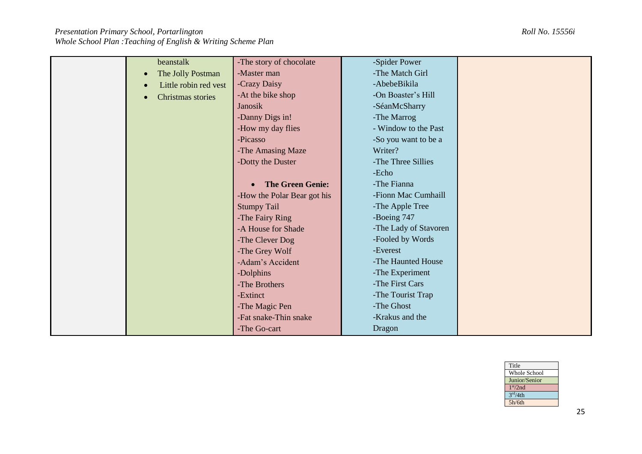| beanstalk                          | -The story of chocolate     | -Spider Power         |  |
|------------------------------------|-----------------------------|-----------------------|--|
| The Jolly Postman<br>$\bullet$     | -Master man                 | -The Match Girl       |  |
|                                    | -Crazy Daisy                | -AbebeBikila          |  |
| Little robin red vest<br>$\bullet$ |                             |                       |  |
| Christmas stories<br>$\bullet$     | -At the bike shop           | -On Boaster's Hill    |  |
|                                    | <b>Janosik</b>              | -SéanMcSharry         |  |
|                                    | -Danny Digs in!             | -The Marrog           |  |
|                                    | -How my day flies           | - Window to the Past  |  |
|                                    | -Picasso                    | -So you want to be a  |  |
|                                    | -The Amasing Maze           | Writer?               |  |
|                                    | -Dotty the Duster           | -The Three Sillies    |  |
|                                    |                             | -Echo                 |  |
|                                    | <b>The Green Genie:</b>     | -The Fianna           |  |
|                                    | -How the Polar Bear got his | -Fionn Mac Cumhaill   |  |
|                                    | <b>Stumpy Tail</b>          | -The Apple Tree       |  |
|                                    | -The Fairy Ring             | -Boeing 747           |  |
|                                    | -A House for Shade          | -The Lady of Stavoren |  |
|                                    | -The Clever Dog             | -Fooled by Words      |  |
|                                    | -The Grey Wolf              | -Everest              |  |
|                                    | -Adam's Accident            | -The Haunted House    |  |
|                                    | -Dolphins                   | -The Experiment       |  |
|                                    | -The Brothers               | -The First Cars       |  |
|                                    | -Extinct                    | -The Tourist Trap     |  |
|                                    | -The Magic Pen              | -The Ghost            |  |
|                                    | -Fat snake-Thin snake       | -Krakus and the       |  |
|                                    | -The Go-cart                | Dragon                |  |

| Title                |  |
|----------------------|--|
| Whole School         |  |
| Junior/Senior        |  |
| 1 <sup>st</sup> /2nd |  |
| 3 <sup>rd</sup> /4th |  |
| 5h/6th               |  |
|                      |  |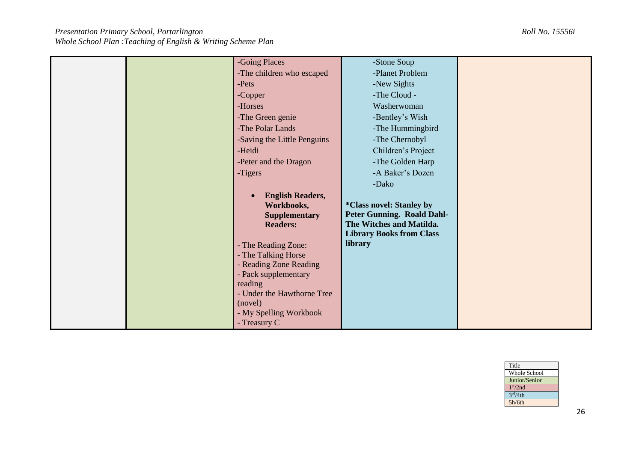| Title                |  |
|----------------------|--|
| Whole School         |  |
| Junior/Senior        |  |
| 1 <sup>st</sup> /2nd |  |
| 3 <sup>rd</sup> /4th |  |
| 5h/6th               |  |
|                      |  |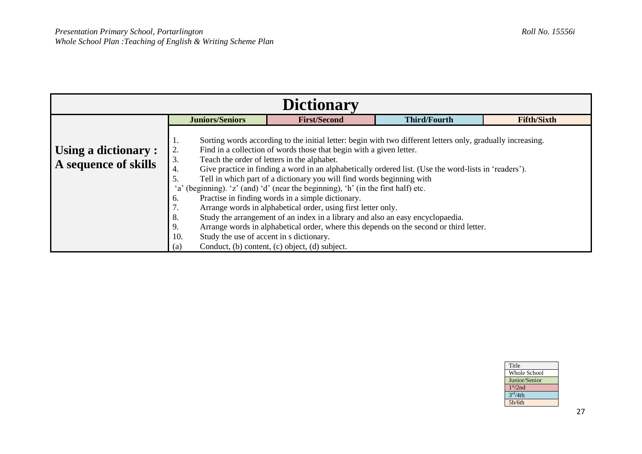| <b>Dictionary</b>                            |                                                                                                                            |                                                                                                                                                                                                                                                                                                                                                                                                                                                                                                                                                                                                                                                                                                                                                                                                                                                              |                     |                    |  |
|----------------------------------------------|----------------------------------------------------------------------------------------------------------------------------|--------------------------------------------------------------------------------------------------------------------------------------------------------------------------------------------------------------------------------------------------------------------------------------------------------------------------------------------------------------------------------------------------------------------------------------------------------------------------------------------------------------------------------------------------------------------------------------------------------------------------------------------------------------------------------------------------------------------------------------------------------------------------------------------------------------------------------------------------------------|---------------------|--------------------|--|
|                                              | <b>Juniors/Seniors</b>                                                                                                     | <b>First/Second</b>                                                                                                                                                                                                                                                                                                                                                                                                                                                                                                                                                                                                                                                                                                                                                                                                                                          | <b>Third/Fourth</b> | <b>Fifth/Sixth</b> |  |
| Using a dictionary :<br>A sequence of skills | Ι.<br>2.<br>3.<br>4.<br>5.<br>6.<br>,,<br>8.<br>9.<br>Study the use of accent in s dictionary.<br>10.<br>$\left( a\right)$ | Sorting words according to the initial letter: begin with two different letters only, gradually increasing.<br>Find in a collection of words those that begin with a given letter.<br>Teach the order of letters in the alphabet.<br>Give practice in finding a word in an alphabetically ordered list. (Use the word-lists in 'readers').<br>Tell in which part of a dictionary you will find words beginning with<br>'a' (beginning). 'z' (and) 'd' (near the beginning), 'h' (in the first half) etc.<br>Practise in finding words in a simple dictionary.<br>Arrange words in alphabetical order, using first letter only.<br>Study the arrangement of an index in a library and also an easy encyclopaedia.<br>Arrange words in alphabetical order, where this depends on the second or third letter.<br>Conduct, (b) content, (c) object, (d) subject. |                     |                    |  |

| Title                |
|----------------------|
| Whole School         |
| Junior/Senior        |
| 1 <sup>st</sup> /2nd |
| 3 <sup>rd</sup> /4th |
| 5h/6th               |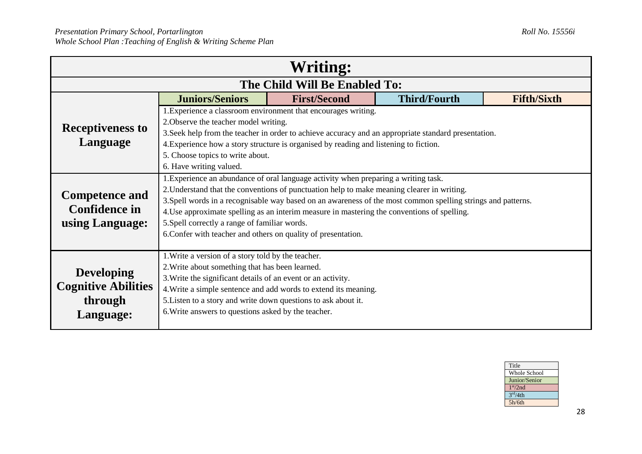| Writing:                   |                                                                                                                                                                                                             |                                                                                                      |                     |                    |  |  |  |
|----------------------------|-------------------------------------------------------------------------------------------------------------------------------------------------------------------------------------------------------------|------------------------------------------------------------------------------------------------------|---------------------|--------------------|--|--|--|
|                            | The Child Will Be Enabled To:                                                                                                                                                                               |                                                                                                      |                     |                    |  |  |  |
|                            | <b>Juniors/Seniors</b>                                                                                                                                                                                      | <b>First/Second</b>                                                                                  | <b>Third/Fourth</b> | <b>Fifth/Sixth</b> |  |  |  |
|                            | 2. Observe the teacher model writing.                                                                                                                                                                       | 1. Experience a classroom environment that encourages writing.                                       |                     |                    |  |  |  |
| <b>Receptiveness to</b>    |                                                                                                                                                                                                             | 3. Seek help from the teacher in order to achieve accuracy and an appropriate standard presentation. |                     |                    |  |  |  |
| Language                   |                                                                                                                                                                                                             | 4. Experience how a story structure is organised by reading and listening to fiction.                |                     |                    |  |  |  |
|                            | 5. Choose topics to write about.                                                                                                                                                                            |                                                                                                      |                     |                    |  |  |  |
|                            | 6. Have writing valued.                                                                                                                                                                                     |                                                                                                      |                     |                    |  |  |  |
|                            | 1. Experience an abundance of oral language activity when preparing a writing task.                                                                                                                         |                                                                                                      |                     |                    |  |  |  |
| <b>Competence and</b>      | 2. Understand that the conventions of punctuation help to make meaning clearer in writing.                                                                                                                  |                                                                                                      |                     |                    |  |  |  |
| <b>Confidence in</b>       | 3. Spell words in a recognisable way based on an awareness of the most common spelling strings and patterns.<br>4. Use approximate spelling as an interim measure in mastering the conventions of spelling. |                                                                                                      |                     |                    |  |  |  |
| using Language:            | 5. Spell correctly a range of familiar words.                                                                                                                                                               |                                                                                                      |                     |                    |  |  |  |
|                            | 6. Confer with teacher and others on quality of presentation.                                                                                                                                               |                                                                                                      |                     |                    |  |  |  |
|                            |                                                                                                                                                                                                             |                                                                                                      |                     |                    |  |  |  |
|                            | 1. Write a version of a story told by the teacher.                                                                                                                                                          |                                                                                                      |                     |                    |  |  |  |
| <b>Developing</b>          | 2. Write about something that has been learned.                                                                                                                                                             |                                                                                                      |                     |                    |  |  |  |
| <b>Cognitive Abilities</b> | 3. Write the significant details of an event or an activity.                                                                                                                                                |                                                                                                      |                     |                    |  |  |  |
|                            | 4. Write a simple sentence and add words to extend its meaning.                                                                                                                                             |                                                                                                      |                     |                    |  |  |  |
| through                    | 5. Listen to a story and write down questions to ask about it.                                                                                                                                              |                                                                                                      |                     |                    |  |  |  |
| Language:                  | 6. Write answers to questions asked by the teacher.                                                                                                                                                         |                                                                                                      |                     |                    |  |  |  |
|                            |                                                                                                                                                                                                             |                                                                                                      |                     |                    |  |  |  |

| Title                |
|----------------------|
| <b>Whole School</b>  |
| Junior/Senior        |
| 1 <sup>st</sup> /2nd |
| 3 <sup>rd</sup> /4th |
| 5h/6th               |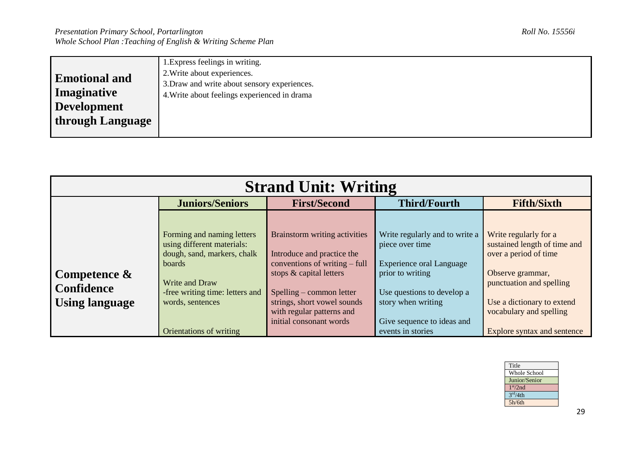|                      | 1. Express feelings in writing.              |
|----------------------|----------------------------------------------|
| <b>Emotional and</b> | 2. Write about experiences.                  |
|                      | 3. Draw and write about sensory experiences. |
| <b>Imaginative</b>   | 4. Write about feelings experienced in drama |
| Development          |                                              |
| through Language     |                                              |
|                      |                                              |

| <b>Strand Unit: Writing</b>                                   |                                                                                                                                                                                                              |                                                                                                                                                                                                                                            |                                                                                                                                                                                                                 |                                                                                                                                                                                                                        |  |
|---------------------------------------------------------------|--------------------------------------------------------------------------------------------------------------------------------------------------------------------------------------------------------------|--------------------------------------------------------------------------------------------------------------------------------------------------------------------------------------------------------------------------------------------|-----------------------------------------------------------------------------------------------------------------------------------------------------------------------------------------------------------------|------------------------------------------------------------------------------------------------------------------------------------------------------------------------------------------------------------------------|--|
|                                                               | <b>Juniors/Seniors</b>                                                                                                                                                                                       | <b>First/Second</b>                                                                                                                                                                                                                        | <b>Third/Fourth</b>                                                                                                                                                                                             | <b>Fifth/Sixth</b>                                                                                                                                                                                                     |  |
| Competence $\&$<br><b>Confidence</b><br><b>Using language</b> | Forming and naming letters<br>using different materials:<br>dough, sand, markers, chalk<br><b>boards</b><br>Write and Draw<br>-free writing time: letters and<br>words, sentences<br>Orientations of writing | Brainstorm writing activities<br>Introduce and practice the<br>conventions of writing – full<br>stops & capital letters<br>Spelling – common letter<br>strings, short vowel sounds<br>with regular patterns and<br>initial consonant words | Write regularly and to write a<br>piece over time<br><b>Experience oral Language</b><br>prior to writing<br>Use questions to develop a<br>story when writing<br>Give sequence to ideas and<br>events in stories | Write regularly for a<br>sustained length of time and<br>over a period of time<br>Observe grammar,<br>punctuation and spelling<br>Use a dictionary to extend<br>vocabulary and spelling<br>Explore syntax and sentence |  |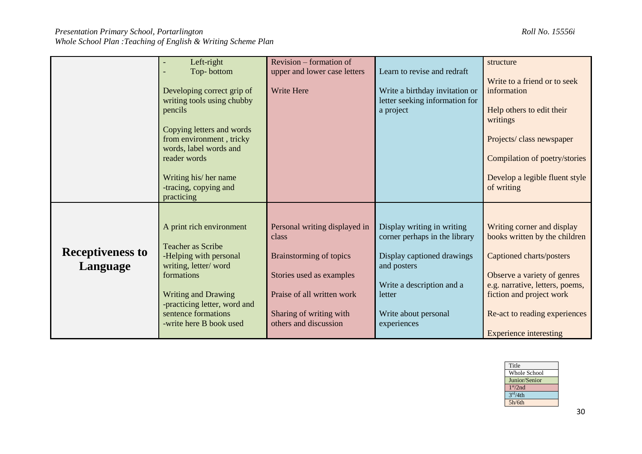|                         | Left-right                   | Revision – formation of        |                                | structure                       |
|-------------------------|------------------------------|--------------------------------|--------------------------------|---------------------------------|
|                         | Top-bottom                   | upper and lower case letters   | Learn to revise and redraft    |                                 |
|                         |                              |                                |                                | Write to a friend or to seek    |
|                         | Developing correct grip of   | Write Here                     | Write a birthday invitation or | information                     |
|                         |                              |                                |                                |                                 |
|                         | writing tools using chubby   |                                | letter seeking information for |                                 |
|                         | pencils                      |                                | a project                      | Help others to edit their       |
|                         |                              |                                |                                | writings                        |
|                         | Copying letters and words    |                                |                                |                                 |
|                         | from environment, tricky     |                                |                                | Projects/class newspaper        |
|                         | words, label words and       |                                |                                |                                 |
|                         |                              |                                |                                |                                 |
|                         | reader words                 |                                |                                | Compilation of poetry/stories   |
|                         |                              |                                |                                |                                 |
|                         | Writing his/her name         |                                |                                | Develop a legible fluent style  |
|                         | -tracing, copying and        |                                |                                | of writing                      |
|                         | practicing                   |                                |                                |                                 |
|                         |                              |                                |                                |                                 |
|                         |                              |                                |                                |                                 |
|                         | A print rich environment     | Personal writing displayed in  | Display writing in writing     | Writing corner and display      |
|                         |                              | class                          |                                |                                 |
|                         |                              |                                | corner perhaps in the library  | books written by the children   |
| <b>Receptiveness to</b> | <b>Teacher as Scribe</b>     |                                |                                |                                 |
|                         | -Helping with personal       | <b>Brainstorming of topics</b> | Display captioned drawings     | Captioned charts/posters        |
| Language                | writing, letter/word         |                                | and posters                    |                                 |
|                         | formations                   | Stories used as examples       |                                | Observe a variety of genres     |
|                         |                              |                                | Write a description and a      | e.g. narrative, letters, poems, |
|                         | <b>Writing and Drawing</b>   | Praise of all written work     | letter                         | fiction and project work        |
|                         | -practicing letter, word and |                                |                                |                                 |
|                         | sentence formations          | Sharing of writing with        | Write about personal           |                                 |
|                         |                              | others and discussion          |                                | Re-act to reading experiences   |
|                         | -write here B book used      |                                | experiences                    |                                 |
|                         |                              |                                |                                | <b>Experience interesting</b>   |

| Title                |  |
|----------------------|--|
| Whole School         |  |
| Junior/Senior        |  |
| 1 <sup>st</sup> /2nd |  |
| 3 <sup>rd</sup> /4th |  |
| 5h/6th               |  |
|                      |  |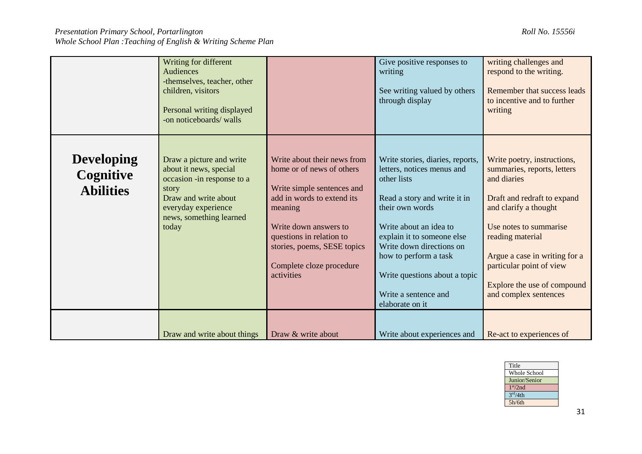|                                                    | Writing for different<br>Audiences<br>-themselves, teacher, other<br>children, visitors<br>Personal writing displayed<br>-on noticeboards/ walls                             |                                                                                                                                                                                                                                                               | Give positive responses to<br>writing<br>See writing valued by others<br>through display                                                                                                                                                                                                                                  | writing challenges and<br>respond to the writing.<br>Remember that success leads<br>to incentive and to further<br>writing                                                                                                                                                                           |
|----------------------------------------------------|------------------------------------------------------------------------------------------------------------------------------------------------------------------------------|---------------------------------------------------------------------------------------------------------------------------------------------------------------------------------------------------------------------------------------------------------------|---------------------------------------------------------------------------------------------------------------------------------------------------------------------------------------------------------------------------------------------------------------------------------------------------------------------------|------------------------------------------------------------------------------------------------------------------------------------------------------------------------------------------------------------------------------------------------------------------------------------------------------|
| <b>Developing</b><br>Cognitive<br><b>Abilities</b> | Draw a picture and write<br>about it news, special<br>occasion -in response to a<br>story<br>Draw and write about<br>everyday experience<br>news, something learned<br>today | Write about their news from<br>home or of news of others<br>Write simple sentences and<br>add in words to extend its<br>meaning<br>Write down answers to<br>questions in relation to<br>stories, poems, SESE topics<br>Complete cloze procedure<br>activities | Write stories, diaries, reports,<br>letters, notices menus and<br>other lists<br>Read a story and write it in<br>their own words<br>Write about an idea to<br>explain it to someone else<br>Write down directions on<br>how to perform a task<br>Write questions about a topic<br>Write a sentence and<br>elaborate on it | Write poetry, instructions,<br>summaries, reports, letters<br>and diaries<br>Draft and redraft to expand<br>and clarify a thought<br>Use notes to summarise<br>reading material<br>Argue a case in writing for a<br>particular point of view<br>Explore the use of compound<br>and complex sentences |
|                                                    | Draw and write about things                                                                                                                                                  | Draw & write about                                                                                                                                                                                                                                            | Write about experiences and                                                                                                                                                                                                                                                                                               | Re-act to experiences of                                                                                                                                                                                                                                                                             |

| Title                |
|----------------------|
| Whole School         |
| Junior/Senior        |
| 1 <sup>st</sup> /2nd |
| 3 <sup>rd</sup> /4th |
| 5h/6th               |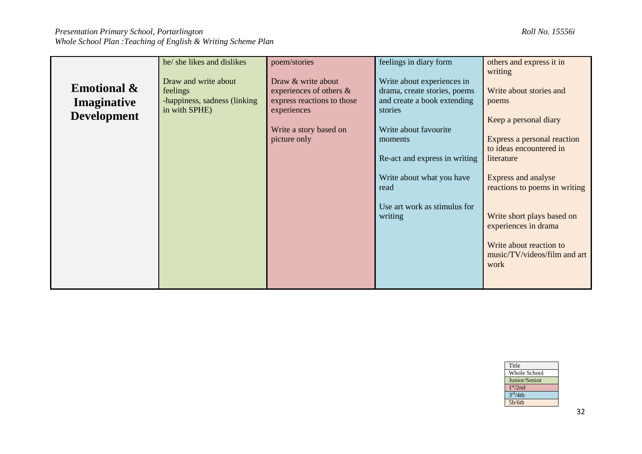|                        | he/ she likes and dislikes    | poem/stories               | feelings in diary form        | others and express it in                               |
|------------------------|-------------------------------|----------------------------|-------------------------------|--------------------------------------------------------|
|                        |                               |                            |                               | writing                                                |
| <b>Emotional &amp;</b> | Draw and write about          | Draw & write about         | Write about experiences in    |                                                        |
|                        | feelings                      | experiences of others $\&$ | drama, create stories, poems  | Write about stories and                                |
| Imaginative            | -happiness, sadness (linking) | express reactions to those | and create a book extending   | poems                                                  |
| <b>Development</b>     | in with SPHE)                 | experiences                | stories                       |                                                        |
|                        |                               |                            |                               | Keep a personal diary                                  |
|                        |                               | Write a story based on     | Write about favourite         |                                                        |
|                        |                               | picture only               | moments                       | Express a personal reaction<br>to ideas encountered in |
|                        |                               |                            | Re-act and express in writing | literature                                             |
|                        |                               |                            |                               |                                                        |
|                        |                               |                            | Write about what you have     | Express and analyse                                    |
|                        |                               |                            | read                          | reactions to poems in writing                          |
|                        |                               |                            |                               |                                                        |
|                        |                               |                            | Use art work as stimulus for  |                                                        |
|                        |                               |                            | writing                       | Write short plays based on                             |
|                        |                               |                            |                               | experiences in drama                                   |
|                        |                               |                            |                               |                                                        |
|                        |                               |                            |                               | Write about reaction to                                |
|                        |                               |                            |                               | music/TV/videos/film and art                           |
|                        |                               |                            |                               | work                                                   |
|                        |                               |                            |                               |                                                        |
|                        |                               |                            |                               |                                                        |

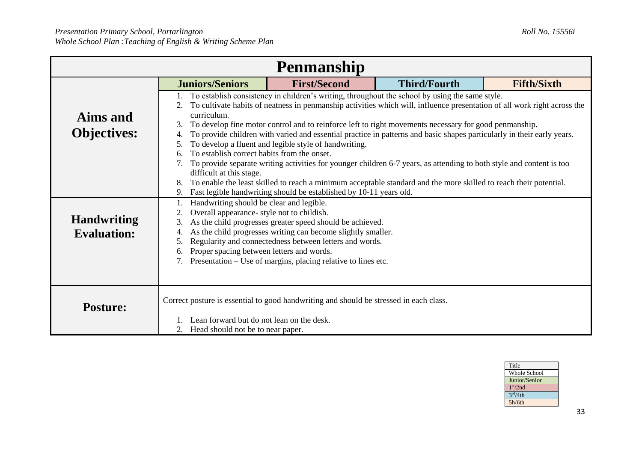| <b>Penmanship</b>                        |                                                                                                                                                                                                                                                                                                                                                                                                                                                                                                                                                                                                                                                                                                                                                                           |                                                                                        |                     |                    |  |
|------------------------------------------|---------------------------------------------------------------------------------------------------------------------------------------------------------------------------------------------------------------------------------------------------------------------------------------------------------------------------------------------------------------------------------------------------------------------------------------------------------------------------------------------------------------------------------------------------------------------------------------------------------------------------------------------------------------------------------------------------------------------------------------------------------------------------|----------------------------------------------------------------------------------------|---------------------|--------------------|--|
|                                          | <b>Juniors/Seniors</b>                                                                                                                                                                                                                                                                                                                                                                                                                                                                                                                                                                                                                                                                                                                                                    | <b>First/Second</b>                                                                    | <b>Third/Fourth</b> | <b>Fifth/Sixth</b> |  |
| Aims and<br><b>Objectives:</b>           | 1. To establish consistency in children's writing, throughout the school by using the same style.<br>To cultivate habits of neatness in penmanship activities which will, influence presentation of all work right across the<br>curriculum.<br>To develop fine motor control and to reinforce left to right movements necessary for good penmanship.<br>3.<br>To provide children with varied and essential practice in patterns and basic shapes particularly in their early years.<br>$\overline{4}$<br>To develop a fluent and legible style of handwriting.<br>5.<br>To establish correct habits from the onset.<br>To provide separate writing activities for younger children 6-7 years, as attending to both style and content is too<br>difficult at this stage. |                                                                                        |                     |                    |  |
|                                          | To enable the least skilled to reach a minimum acceptable standard and the more skilled to reach their potential.<br>8.<br>Fast legible handwriting should be established by 10-11 years old.                                                                                                                                                                                                                                                                                                                                                                                                                                                                                                                                                                             |                                                                                        |                     |                    |  |
| <b>Handwriting</b><br><b>Evaluation:</b> | Handwriting should be clear and legible.<br>Overall appearance- style not to childish.<br>2.<br>As the child progresses greater speed should be achieved.<br>3.<br>As the child progresses writing can become slightly smaller.<br>4.<br>Regularity and connectedness between letters and words.<br>$\mathcal{D}$ .<br>Proper spacing between letters and words.<br>Presentation – Use of margins, placing relative to lines etc.                                                                                                                                                                                                                                                                                                                                         |                                                                                        |                     |                    |  |
| <b>Posture:</b>                          | Lean forward but do not lean on the desk.<br>2. Head should not be to near paper.                                                                                                                                                                                                                                                                                                                                                                                                                                                                                                                                                                                                                                                                                         | Correct posture is essential to good handwriting and should be stressed in each class. |                     |                    |  |

| Title                |
|----------------------|
| Whole School         |
| Junior/Senior        |
| 1 <sup>st</sup> /2nd |
| 3 <sup>rd</sup> /4th |
| 5h/6th               |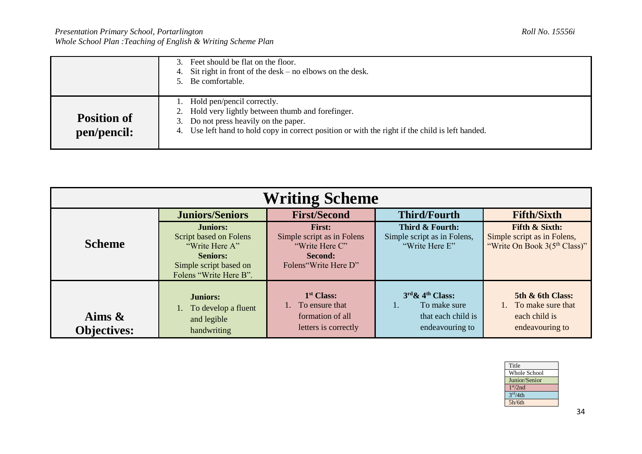|                                   | 3. Feet should be flat on the floor.<br>Sit right in front of the $\text{ desk}$ – no elbows on the desk.<br>4.<br>5. Be comfortable.                                                                                         |
|-----------------------------------|-------------------------------------------------------------------------------------------------------------------------------------------------------------------------------------------------------------------------------|
| <b>Position of</b><br>pen/pencil: | Hold pen/pencil correctly.<br>2. Hold very lightly between thumb and forefinger.<br>3. Do not press heavily on the paper.<br>4. Use left hand to hold copy in correct position or with the right if the child is left handed. |

| <b>Writing Scheme</b>           |                                                                                                                                    |                                                                                                  |                                                                              |                                                                                                      |
|---------------------------------|------------------------------------------------------------------------------------------------------------------------------------|--------------------------------------------------------------------------------------------------|------------------------------------------------------------------------------|------------------------------------------------------------------------------------------------------|
|                                 | <b>Juniors/Seniors</b>                                                                                                             | <b>First/Second</b>                                                                              | <b>Third/Fourth</b>                                                          | <b>Fifth/Sixth</b>                                                                                   |
| <b>Scheme</b>                   | <b>Juniors:</b><br>Script based on Folens<br>"Write Here A"<br><b>Seniors:</b><br>Simple script based on<br>Folens "Write Here B". | <b>First:</b><br>Simple script as in Folens<br>"Write Here C"<br>Second:<br>Folens"Write Here D" | Third & Fourth:<br>Simple script as in Folens,<br>"Write Here E"             | <b>Fifth &amp; Sixth:</b><br>Simple script as in Folens,<br>"Write On Book 3(5 <sup>th</sup> Class)" |
| Aims $\&$<br><b>Objectives:</b> | <b>Juniors:</b><br>To develop a fluent<br>and legible<br>handwriting                                                               | 1 <sup>st</sup> Class:<br>1. To ensure that<br>formation of all<br>letters is correctly          | $3rd \& 4th Class:$<br>To make sure<br>that each child is<br>endeavouring to | 5th & 6th Class:<br>1. To make sure that<br>each child is<br>endeavouring to                         |

| Title                |
|----------------------|
| <b>Whole School</b>  |
| Junior/Senior        |
| 1 <sup>st</sup> /2nd |
| 3 <sup>rd</sup> /4th |
| 5h/6th               |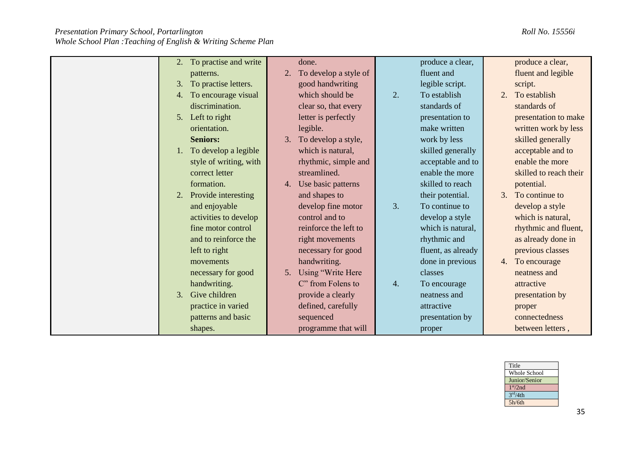|                             | done.                       |                      |                        |
|-----------------------------|-----------------------------|----------------------|------------------------|
| To practise and write<br>2. |                             | produce a clear,     | produce a clear,       |
| patterns.                   | To develop a style of<br>2. | fluent and           | fluent and legible     |
| To practise letters.<br>3.  | good handwriting            | legible script.      | script.                |
| To encourage visual<br>4.   | which should be             | 2.<br>To establish   | To establish<br>2.     |
| discrimination.             | clear so, that every        | standards of         | standards of           |
| Left to right<br>5.         | letter is perfectly         | presentation to      | presentation to make   |
| orientation.                | legible.                    | make written         | written work by less   |
| <b>Seniors:</b>             | To develop a style,<br>3.   | work by less         | skilled generally      |
| To develop a legible<br>1.  | which is natural,           | skilled generally    | acceptable and to      |
| style of writing, with      | rhythmic, simple and        | acceptable and to    | enable the more        |
| correct letter              | streamlined.                | enable the more      | skilled to reach their |
| formation.                  | Use basic patterns<br>4.    | skilled to reach     | potential.             |
| Provide interesting<br>2.   | and shapes to               | their potential.     | To continue to<br>3.   |
| and enjoyable               | develop fine motor          | 3.<br>To continue to | develop a style        |
| activities to develop       | control and to              | develop a style      | which is natural,      |
| fine motor control          | reinforce the left to       | which is natural,    | rhythmic and fluent,   |
| and to reinforce the        | right movements             | rhythmic and         | as already done in     |
| left to right               | necessary for good          | fluent, as already   | previous classes       |
| movements                   | handwriting.                | done in previous     | To encourage<br>4.     |
| necessary for good          | Using "Write Here<br>5.     | classes              | neatness and           |
| handwriting.                | C" from Folens to           | 4.<br>To encourage   | attractive             |
| Give children<br>3.         | provide a clearly           | neatness and         | presentation by        |
| practice in varied          | defined, carefully          | attractive           | proper                 |
| patterns and basic          | sequenced                   | presentation by      | connectedness          |
| shapes.                     | programme that will         | proper               | between letters,       |

| Title                |  |
|----------------------|--|
| <b>Whole School</b>  |  |
| Junior/Senior        |  |
| 1 <sup>st</sup> /2nd |  |
| 3 <sup>rd</sup> /4th |  |
| 5h/6th               |  |
|                      |  |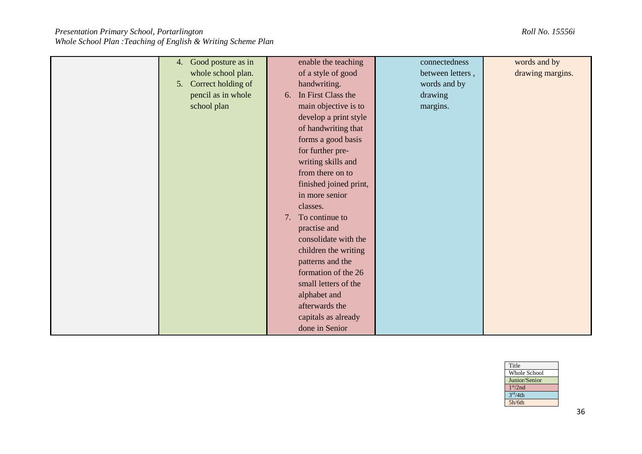| 4. Good posture as in | enable the teaching    | connectedness    | words and by     |
|-----------------------|------------------------|------------------|------------------|
| whole school plan.    | of a style of good     | between letters, | drawing margins. |
| 5. Correct holding of | handwriting.           | words and by     |                  |
| pencil as in whole    | 6. In First Class the  | drawing          |                  |
| school plan           | main objective is to   | margins.         |                  |
|                       | develop a print style  |                  |                  |
|                       | of handwriting that    |                  |                  |
|                       | forms a good basis     |                  |                  |
|                       | for further pre-       |                  |                  |
|                       | writing skills and     |                  |                  |
|                       | from there on to       |                  |                  |
|                       | finished joined print, |                  |                  |
|                       | in more senior         |                  |                  |
|                       | classes.               |                  |                  |
|                       | To continue to<br>7.   |                  |                  |
|                       | practise and           |                  |                  |
|                       | consolidate with the   |                  |                  |
|                       | children the writing   |                  |                  |
|                       | patterns and the       |                  |                  |
|                       | formation of the 26    |                  |                  |
|                       | small letters of the   |                  |                  |
|                       | alphabet and           |                  |                  |
|                       | afterwards the         |                  |                  |
|                       | capitals as already    |                  |                  |
|                       | done in Senior         |                  |                  |

| Title                |
|----------------------|
| <b>Whole School</b>  |
| Junior/Senior        |
| 1 <sup>st</sup> /2nd |
| 3 <sup>rd</sup> /4th |
| 5h/6th               |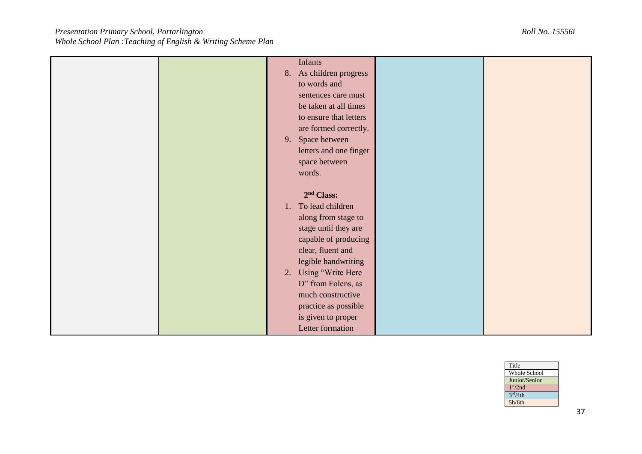| <b>Infants</b>          |  |
|-------------------------|--|
|                         |  |
| 8. As children progress |  |
| to words and            |  |
| sentences care must     |  |
| be taken at all times   |  |
| to ensure that letters  |  |
| are formed correctly.   |  |
| Space between<br>9.     |  |
| letters and one finger  |  |
| space between           |  |
| words.                  |  |
|                         |  |
| 2 <sup>nd</sup> Class:  |  |
| 1. To lead children     |  |
| along from stage to     |  |
|                         |  |
| stage until they are    |  |
| capable of producing    |  |
| clear, fluent and       |  |
| legible handwriting     |  |
| Using "Write Here<br>2. |  |
| D" from Folens, as      |  |
| much constructive       |  |
| practice as possible    |  |
| is given to proper      |  |
| Letter formation        |  |
|                         |  |

| Title                |
|----------------------|
| Whole School         |
| Junior/Senior        |
| 1 <sup>st</sup> /2nd |
| 3 <sup>rd</sup> /4th |
| 5h/6th               |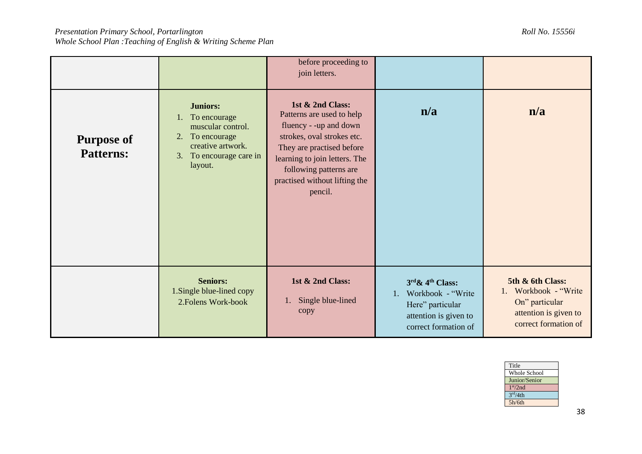|                                       |                                                                                                                                             | before proceeding to<br>join letters.                                                                                                                                                                                                     |                                                                                                                  |                                                                                                                 |
|---------------------------------------|---------------------------------------------------------------------------------------------------------------------------------------------|-------------------------------------------------------------------------------------------------------------------------------------------------------------------------------------------------------------------------------------------|------------------------------------------------------------------------------------------------------------------|-----------------------------------------------------------------------------------------------------------------|
| <b>Purpose of</b><br><b>Patterns:</b> | <b>Juniors:</b><br>1. To encourage<br>muscular control.<br>To encourage<br>2.<br>creative artwork.<br>3.<br>To encourage care in<br>layout. | 1st & 2nd Class:<br>Patterns are used to help<br>fluency - -up and down<br>strokes, oval strokes etc.<br>They are practised before<br>learning to join letters. The<br>following patterns are<br>practised without lifting the<br>pencil. | n/a                                                                                                              | n/a                                                                                                             |
|                                       | <b>Seniors:</b><br>1. Single blue-lined copy<br>2. Folens Work-book                                                                         | 1st & 2nd Class:<br>Single blue-lined<br>1.<br>copy                                                                                                                                                                                       | $3rd \& 4th Class:$<br>1. Workbook - "Write<br>Here" particular<br>attention is given to<br>correct formation of | 5th & 6th Class:<br>Workbook - "Write"<br>1.<br>On" particular<br>attention is given to<br>correct formation of |

| Title                |
|----------------------|
| <b>Whole School</b>  |
| Junior/Senior        |
| 1 <sup>st</sup> /2nd |
| 3 <sup>rd</sup> /4th |
| 5h/6th               |
|                      |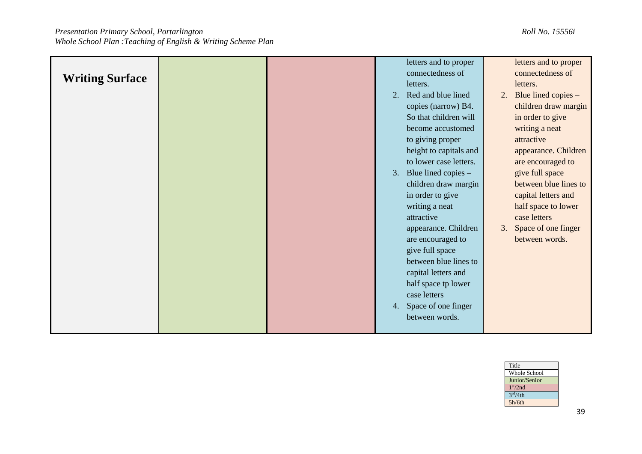| <b>Writing Surface</b> |  | 2. | letters and to proper<br>connectedness of<br>letters.<br>Red and blue lined<br>copies (narrow) B4.<br>So that children will<br>become accustomed<br>to giving proper<br>height to capitals and<br>to lower case letters.<br>3. Blue lined copies $-$<br>children draw margin<br>in order to give<br>writing a neat<br>attractive<br>appearance. Children<br>are encouraged to<br>give full space<br>between blue lines to<br>capital letters and<br>half space tp lower<br>case letters | 2.<br>3. | letters and to proper<br>connectedness of<br>letters.<br>Blue lined copies -<br>children draw margin<br>in order to give<br>writing a neat<br>attractive<br>appearance. Children<br>are encouraged to<br>give full space<br>between blue lines to<br>capital letters and<br>half space to lower<br>case letters<br>Space of one finger<br>between words. |
|------------------------|--|----|-----------------------------------------------------------------------------------------------------------------------------------------------------------------------------------------------------------------------------------------------------------------------------------------------------------------------------------------------------------------------------------------------------------------------------------------------------------------------------------------|----------|----------------------------------------------------------------------------------------------------------------------------------------------------------------------------------------------------------------------------------------------------------------------------------------------------------------------------------------------------------|
|                        |  | 4. | Space of one finger<br>between words.                                                                                                                                                                                                                                                                                                                                                                                                                                                   |          |                                                                                                                                                                                                                                                                                                                                                          |

| Title                |
|----------------------|
| <b>Whole School</b>  |
| Junior/Senior        |
| 1 <sup>st</sup> /2nd |
| 3 <sup>rd</sup> /4th |
| 5h/6th               |
|                      |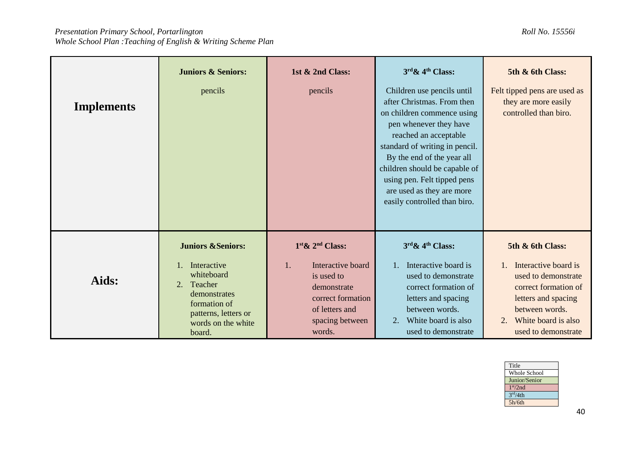| <b>Implements</b> | <b>Juniors &amp; Seniors:</b><br>pencils                                                                                                                           | 1st & 2nd Class:<br>pencils                                                                                                                     | $3rd \& 4th Class:$<br>Children use pencils until<br>after Christmas. From then<br>on children commence using<br>pen whenever they have<br>reached an acceptable<br>standard of writing in pencil.<br>By the end of the year all<br>children should be capable of<br>using pen. Felt tipped pens<br>are used as they are more<br>easily controlled than biro. | 5th & 6th Class:<br>Felt tipped pens are used as<br>they are more easily<br>controlled than biro.                                                                              |
|-------------------|--------------------------------------------------------------------------------------------------------------------------------------------------------------------|-------------------------------------------------------------------------------------------------------------------------------------------------|---------------------------------------------------------------------------------------------------------------------------------------------------------------------------------------------------------------------------------------------------------------------------------------------------------------------------------------------------------------|--------------------------------------------------------------------------------------------------------------------------------------------------------------------------------|
| Aids:             | <b>Juniors &amp;Seniors:</b><br>Interactive<br>whiteboard<br>2.<br>Teacher<br>demonstrates<br>formation of<br>patterns, letters or<br>words on the white<br>board. | $1st \& 2nd Class:$<br>Interactive board<br>1.<br>is used to<br>demonstrate<br>correct formation<br>of letters and<br>spacing between<br>words. | 3rd & 4th Class:<br>Interactive board is<br>$1_{\cdot}$<br>used to demonstrate<br>correct formation of<br>letters and spacing<br>between words.<br>White board is also<br>2.<br>used to demonstrate                                                                                                                                                           | 5th & 6th Class:<br>Interactive board is<br>used to demonstrate<br>correct formation of<br>letters and spacing<br>between words.<br>White board is also<br>used to demonstrate |

| Title                |
|----------------------|
| Whole School         |
| Junior/Senior        |
| 1 <sup>st</sup> /2nd |
| 3 <sup>rd</sup> /4th |
| 5h/6th               |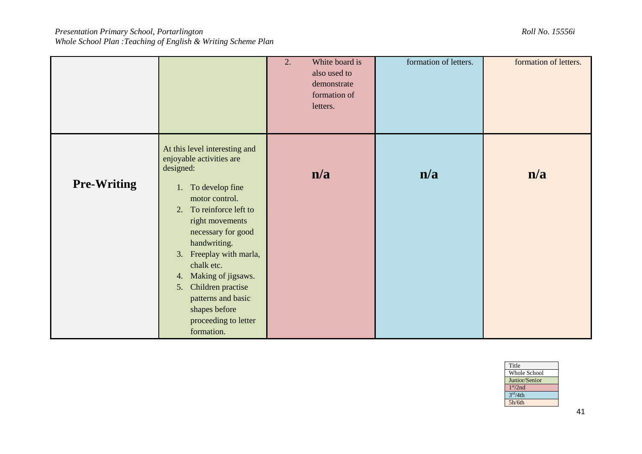|                    |                                                                                                                                                                                                                                                                                                                                                                                       | 2. | White board is<br>also used to<br>demonstrate<br>formation of<br>letters. | formation of letters. | formation of letters. |
|--------------------|---------------------------------------------------------------------------------------------------------------------------------------------------------------------------------------------------------------------------------------------------------------------------------------------------------------------------------------------------------------------------------------|----|---------------------------------------------------------------------------|-----------------------|-----------------------|
| <b>Pre-Writing</b> | At this level interesting and<br>enjoyable activities are<br>designed:<br>1. To develop fine<br>motor control.<br>To reinforce left to<br>2.<br>right movements<br>necessary for good<br>handwriting.<br>Freeplay with marla,<br>3.<br>chalk etc.<br>Making of jigsaws.<br>4.<br>Children practise<br>5.<br>patterns and basic<br>shapes before<br>proceeding to letter<br>formation. |    | n/a                                                                       | n/a                   | n/a                   |

| Title<br><b>Whole School</b><br>Junior/Senior<br>1 <sup>st</sup> /2nd |
|-----------------------------------------------------------------------|
|                                                                       |
|                                                                       |
|                                                                       |
|                                                                       |
| 3 <sup>rd</sup> /4th                                                  |
| 5h/6th                                                                |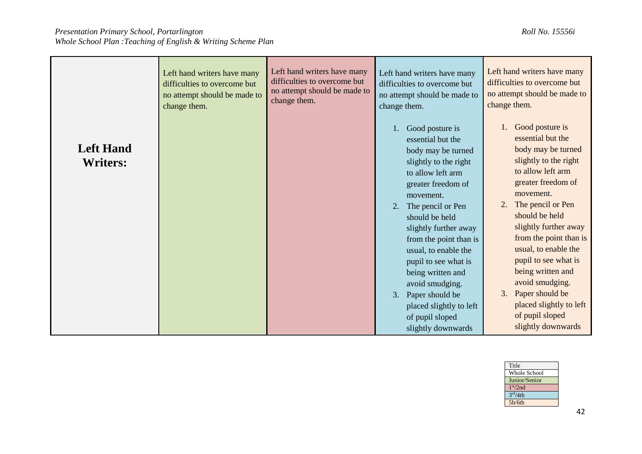|                                     | Left hand writers have many  | Left hand writers have many  | Left hand writers have many                                                                                                                                                                                                                                                                                                                                                                                                      | Left hand writers have many                                                                                                                                                                                                                                                                                                                                                                                                      |
|-------------------------------------|------------------------------|------------------------------|----------------------------------------------------------------------------------------------------------------------------------------------------------------------------------------------------------------------------------------------------------------------------------------------------------------------------------------------------------------------------------------------------------------------------------|----------------------------------------------------------------------------------------------------------------------------------------------------------------------------------------------------------------------------------------------------------------------------------------------------------------------------------------------------------------------------------------------------------------------------------|
|                                     | difficulties to overcome but | difficulties to overcome but | difficulties to overcome but                                                                                                                                                                                                                                                                                                                                                                                                     | difficulties to overcome but                                                                                                                                                                                                                                                                                                                                                                                                     |
|                                     | no attempt should be made to | no attempt should be made to | no attempt should be made to                                                                                                                                                                                                                                                                                                                                                                                                     | no attempt should be made to                                                                                                                                                                                                                                                                                                                                                                                                     |
|                                     | change them.                 | change them.                 | change them.                                                                                                                                                                                                                                                                                                                                                                                                                     | change them.                                                                                                                                                                                                                                                                                                                                                                                                                     |
| <b>Left Hand</b><br><b>Writers:</b> |                              |                              | Good posture is<br>essential but the<br>body may be turned<br>slightly to the right<br>to allow left arm<br>greater freedom of<br>movement.<br>2.<br>The pencil or Pen<br>should be held<br>slightly further away<br>from the point than is<br>usual, to enable the<br>pupil to see what is<br>being written and<br>avoid smudging.<br>Paper should be<br>3.<br>placed slightly to left<br>of pupil sloped<br>slightly downwards | Good posture is<br>1.<br>essential but the<br>body may be turned<br>slightly to the right<br>to allow left arm<br>greater freedom of<br>movement.<br>The pencil or Pen<br>should be held<br>slightly further away<br>from the point than is<br>usual, to enable the<br>pupil to see what is<br>being written and<br>avoid smudging.<br>Paper should be<br>3.<br>placed slightly to left<br>of pupil sloped<br>slightly downwards |

| Title                |                     |
|----------------------|---------------------|
|                      | <b>Whole School</b> |
| Junior/Senior        |                     |
| 1 <sup>st</sup> /2nd |                     |
| 3 <sup>rd</sup> /4th |                     |
| 5h/6th               |                     |
|                      |                     |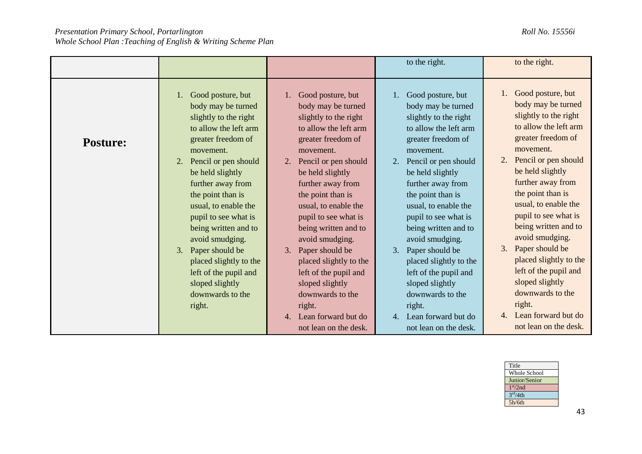| Good posture, but<br>body may be turned<br>slightly to the right<br>to allow the left arm<br>greater freedom of<br>movement.<br>Pencil or pen should<br>be held slightly<br>further away from<br>the point than is<br>usual, to enable the<br>pupil to see what is<br>being written and to<br>avoid smudging.<br>Paper should be<br>3.<br>placed slightly to the<br>left of the pupil and<br>sloped slightly<br>downwards to the<br>right.<br>4. Lean forward but do | Good posture, but<br>body may be turned<br>slightly to the right<br>to allow the left arm<br>greater freedom of<br>movement.<br>Pencil or pen should<br>be held slightly<br>further away from<br>the point than is<br>usual, to enable the<br>pupil to see what is<br>being written and to<br>avoid smudging.<br>Paper should be<br>3.<br>placed slightly to the<br>left of the pupil and<br>sloped slightly<br>downwards to the<br>right.<br>Lean forward but do<br>not lean on the desk. |
|----------------------------------------------------------------------------------------------------------------------------------------------------------------------------------------------------------------------------------------------------------------------------------------------------------------------------------------------------------------------------------------------------------------------------------------------------------------------|--------------------------------------------------------------------------------------------------------------------------------------------------------------------------------------------------------------------------------------------------------------------------------------------------------------------------------------------------------------------------------------------------------------------------------------------------------------------------------------------|
|                                                                                                                                                                                                                                                                                                                                                                                                                                                                      | not lean on the desk.                                                                                                                                                                                                                                                                                                                                                                                                                                                                      |

| Title                |
|----------------------|
| Whole School         |
| Junior/Senior        |
| 1 <sup>st</sup> /2nd |
| 3 <sup>rd</sup> /4th |
| 5h/6th               |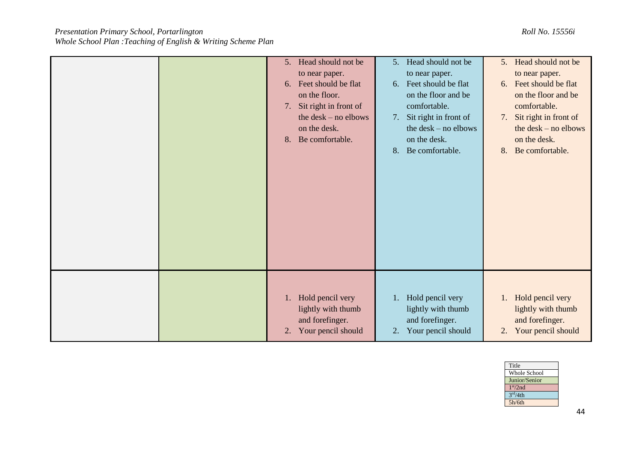| 5. Head should not be<br>to near paper.<br>Feet should be flat<br>6.<br>on the floor.<br>Sit right in front of<br>7.<br>the $\text{ desk} - \text{no}\text{ elbows}$<br>on the desk.<br>8. Be comfortable. | 5. Head should not be<br>to near paper.<br>6. Feet should be flat<br>on the floor and be<br>comfortable.<br>Sit right in front of<br>7.<br>the $\text{ desk} - \text{no}$ elbows<br>on the desk.<br>Be comfortable.<br>8. | 5. Head should not be<br>to near paper.<br>6. Feet should be flat<br>on the floor and be<br>comfortable.<br>Sit right in front of<br>7.<br>the $\text{ desk} - \text{no}\text{ elbows}$<br>on the desk.<br>Be comfortable.<br>8. |
|------------------------------------------------------------------------------------------------------------------------------------------------------------------------------------------------------------|---------------------------------------------------------------------------------------------------------------------------------------------------------------------------------------------------------------------------|----------------------------------------------------------------------------------------------------------------------------------------------------------------------------------------------------------------------------------|
| 1. Hold pencil very<br>lightly with thumb<br>and forefinger.<br>Your pencil should<br>2.                                                                                                                   | 1. Hold pencil very<br>lightly with thumb<br>and forefinger.<br>Your pencil should<br>2.                                                                                                                                  | 1. Hold pencil very<br>lightly with thumb<br>and forefinger.<br>Your pencil should<br>2.                                                                                                                                         |

| Title                |
|----------------------|
| Whole School         |
| Junior/Senior        |
| 1 <sup>st</sup> /2nd |
| 3 <sup>rd</sup> /4th |
| 5h/6th               |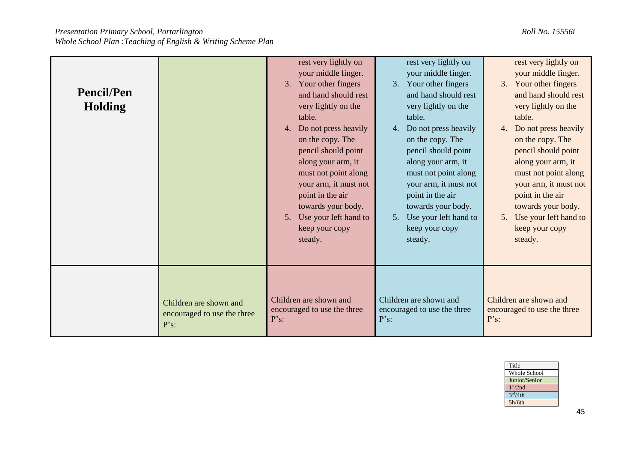| <b>Pencil/Pen</b><br><b>Holding</b> |                             | rest very lightly on<br>your middle finger.<br>3. Your other fingers<br>and hand should rest<br>very lightly on the<br>table.<br>Do not press heavily<br>4.<br>on the copy. The<br>pencil should point<br>along your arm, it<br>must not point along<br>your arm, it must not<br>point in the air<br>towards your body.<br>Use your left hand to<br>5.<br>keep your copy<br>steady. | rest very lightly on<br>your middle finger.<br>3. Your other fingers<br>and hand should rest<br>very lightly on the<br>table.<br>4. Do not press heavily<br>on the copy. The<br>pencil should point<br>along your arm, it<br>must not point along<br>your arm, it must not<br>point in the air<br>towards your body.<br>5. Use your left hand to<br>keep your copy<br>steady. | rest very lightly on<br>your middle finger.<br>3. Your other fingers<br>and hand should rest<br>very lightly on the<br>table.<br>Do not press heavily<br>4.<br>on the copy. The<br>pencil should point<br>along your arm, it<br>must not point along<br>your arm, it must not<br>point in the air<br>towards your body.<br>Use your left hand to<br>5.<br>keep your copy<br>steady. |
|-------------------------------------|-----------------------------|-------------------------------------------------------------------------------------------------------------------------------------------------------------------------------------------------------------------------------------------------------------------------------------------------------------------------------------------------------------------------------------|-------------------------------------------------------------------------------------------------------------------------------------------------------------------------------------------------------------------------------------------------------------------------------------------------------------------------------------------------------------------------------|-------------------------------------------------------------------------------------------------------------------------------------------------------------------------------------------------------------------------------------------------------------------------------------------------------------------------------------------------------------------------------------|
|                                     | Children are shown and      | Children are shown and                                                                                                                                                                                                                                                                                                                                                              | Children are shown and                                                                                                                                                                                                                                                                                                                                                        | Children are shown and                                                                                                                                                                                                                                                                                                                                                              |
|                                     | encouraged to use the three | encouraged to use the three                                                                                                                                                                                                                                                                                                                                                         | encouraged to use the three                                                                                                                                                                                                                                                                                                                                                   | encouraged to use the three                                                                                                                                                                                                                                                                                                                                                         |
|                                     | $P's$ :                     | $P's$ :                                                                                                                                                                                                                                                                                                                                                                             | $P's$ :                                                                                                                                                                                                                                                                                                                                                                       | P's                                                                                                                                                                                                                                                                                                                                                                                 |

| Title                |
|----------------------|
| <b>Whole School</b>  |
| Junior/Senior        |
| 1 <sup>st</sup> /2nd |
| 3 <sup>rd</sup> /4th |
| 5h/6th               |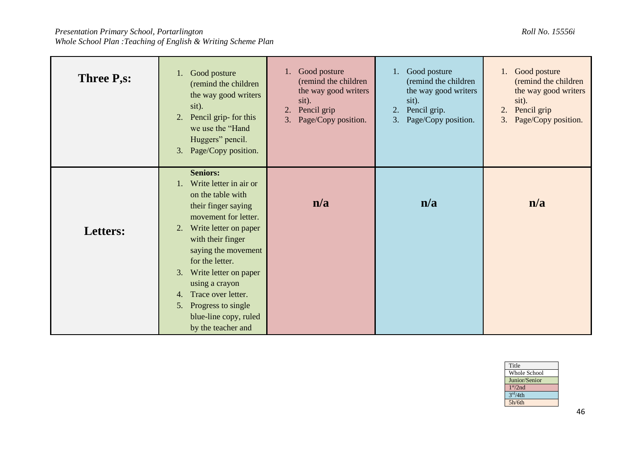| Three P <sub>,S</sub> : | 1. Good posture<br>(remind the children<br>the way good writers<br>sit).<br>Pencil grip- for this<br>2.<br>we use the "Hand"<br>Huggers" pencil.<br>Page/Copy position.<br>3.                                                                                                                                                                                             | Good posture<br>1.<br>(remind the children<br>the way good writers<br>sit).<br>Pencil grip<br>2.<br>Page/Copy position.<br>3. | 1. Good posture<br>(remind the children<br>the way good writers<br>sit).<br>Pencil grip.<br>2.<br>Page/Copy position.<br>3. | Good posture<br>1.<br>(remind the children<br>the way good writers<br>sit).<br>2.<br>Pencil grip<br>Page/Copy position.<br>3. |
|-------------------------|---------------------------------------------------------------------------------------------------------------------------------------------------------------------------------------------------------------------------------------------------------------------------------------------------------------------------------------------------------------------------|-------------------------------------------------------------------------------------------------------------------------------|-----------------------------------------------------------------------------------------------------------------------------|-------------------------------------------------------------------------------------------------------------------------------|
| Letters:                | <b>Seniors:</b><br>Write letter in air or<br>1.<br>on the table with<br>their finger saying<br>movement for letter.<br>Write letter on paper<br>2.<br>with their finger<br>saying the movement<br>for the letter.<br>Write letter on paper<br>3.<br>using a crayon<br>Trace over letter.<br>4.<br>Progress to single<br>5.<br>blue-line copy, ruled<br>by the teacher and | n/a                                                                                                                           | n/a                                                                                                                         | n/a                                                                                                                           |

| Title                |  |
|----------------------|--|
| Whole School         |  |
| Junior/Senior        |  |
| 1 <sup>st</sup> /2nd |  |
| 3 <sup>rd</sup> /4th |  |
| 5h/6th               |  |
|                      |  |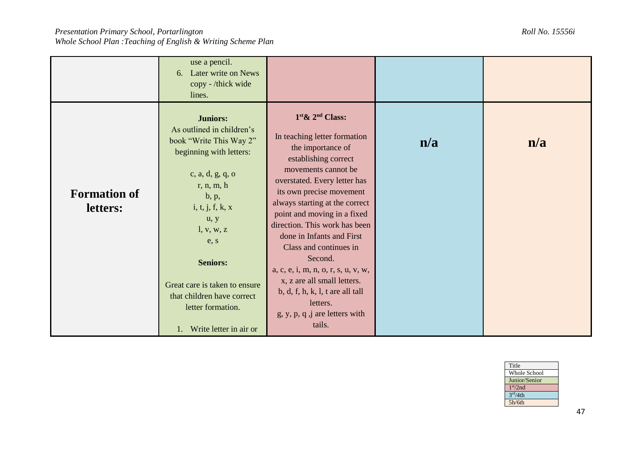|                                 | use a pencil.<br>6. Later write on News<br>copy - /thick wide<br>lines.                                                                                                                                                                                                                                                             |                                                                                                                                                                                                                                                                                                                                                                                                                                                                                                                              |     |     |
|---------------------------------|-------------------------------------------------------------------------------------------------------------------------------------------------------------------------------------------------------------------------------------------------------------------------------------------------------------------------------------|------------------------------------------------------------------------------------------------------------------------------------------------------------------------------------------------------------------------------------------------------------------------------------------------------------------------------------------------------------------------------------------------------------------------------------------------------------------------------------------------------------------------------|-----|-----|
| <b>Formation of</b><br>letters: | <b>Juniors:</b><br>As outlined in children's<br>book "Write This Way 2"<br>beginning with letters:<br>c, a, d, g, q, o<br>r, n, m, h<br>b, p,<br>i, t, j, f, k, x<br>u, y<br>l, v, w, z<br>e, s<br><b>Seniors:</b><br>Great care is taken to ensure<br>that children have correct<br>letter formation.<br>1. Write letter in air or | $1st$ & $2nd$ Class:<br>In teaching letter formation<br>the importance of<br>establishing correct<br>movements cannot be<br>overstated. Every letter has<br>its own precise movement<br>always starting at the correct<br>point and moving in a fixed<br>direction. This work has been<br>done in Infants and First<br>Class and continues in<br>Second.<br>a, c, e, i, m, n, o, r, s, u, v, w,<br>x, z are all small letters.<br>b, d, f, h, k, l, t are all tall<br>letters.<br>$g, y, p, q, j$ are letters with<br>tails. | n/a | n/a |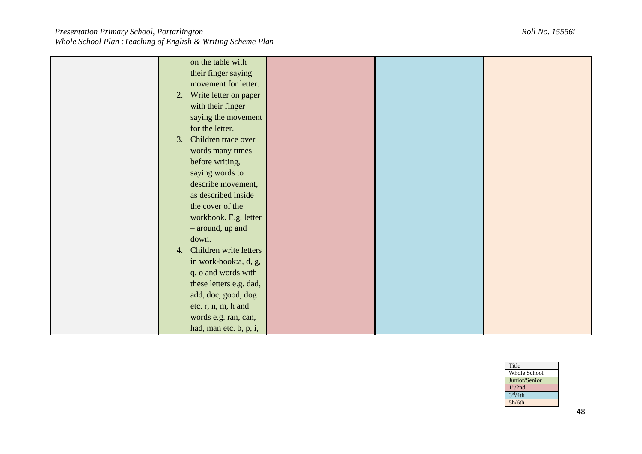| on the table with            |  |  |
|------------------------------|--|--|
| their finger saying          |  |  |
| movement for letter.         |  |  |
| 2. Write letter on paper     |  |  |
| with their finger            |  |  |
| saying the movement          |  |  |
| for the letter.              |  |  |
| 3. Children trace over       |  |  |
| words many times             |  |  |
| before writing,              |  |  |
| saying words to              |  |  |
| describe movement,           |  |  |
| as described inside          |  |  |
| the cover of the             |  |  |
| workbook. E.g. letter        |  |  |
| - around, up and             |  |  |
| down.                        |  |  |
| Children write letters<br>4. |  |  |
| in work-book:a, d, g,        |  |  |
| q, o and words with          |  |  |
| these letters e.g. dad,      |  |  |
|                              |  |  |
| add, doc, good, dog          |  |  |
| etc. r, n, m, h and          |  |  |
| words e.g. ran, can,         |  |  |
| had, man etc. b, p, i,       |  |  |

| Title                |
|----------------------|
| Whole School         |
| Junior/Senior        |
| 1 <sup>st</sup> /2nd |
| 3 <sup>rd</sup> /4th |
| 5h/6th               |
|                      |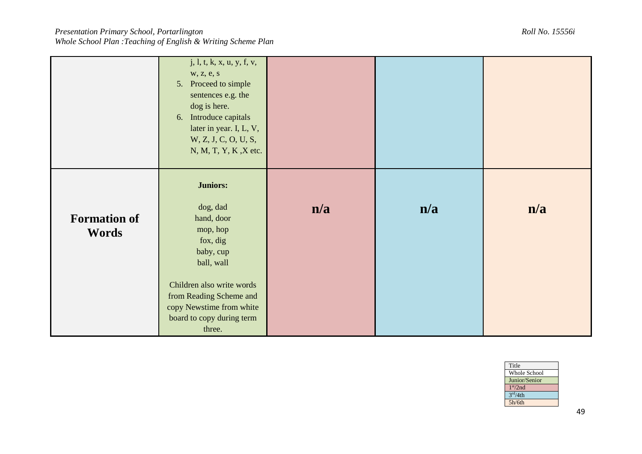|                                     | j, l, t, k, x, u, y, f, v,<br>w, z, e, s<br>Proceed to simple<br>5.<br>sentences e.g. the<br>dog is here.<br>Introduce capitals<br>6.<br>later in year. I, L, V,<br>W, Z, J, C, O, U, S,<br>N, M, T, Y, K, X etc. |     |     |     |
|-------------------------------------|-------------------------------------------------------------------------------------------------------------------------------------------------------------------------------------------------------------------|-----|-----|-----|
| <b>Formation of</b><br><b>Words</b> | <b>Juniors:</b><br>dog, dad<br>hand, door<br>mop, hop<br>fox, dig<br>baby, cup<br>ball, wall<br>Children also write words<br>from Reading Scheme and<br>copy Newstime from white<br>board to copy during term     | n/a | n/a | n/a |

| Title                |
|----------------------|
| <b>Whole School</b>  |
| Junior/Senior        |
| 1 <sup>st</sup> /2nd |
| 3 <sup>rd</sup> /4th |
| 5h/6th               |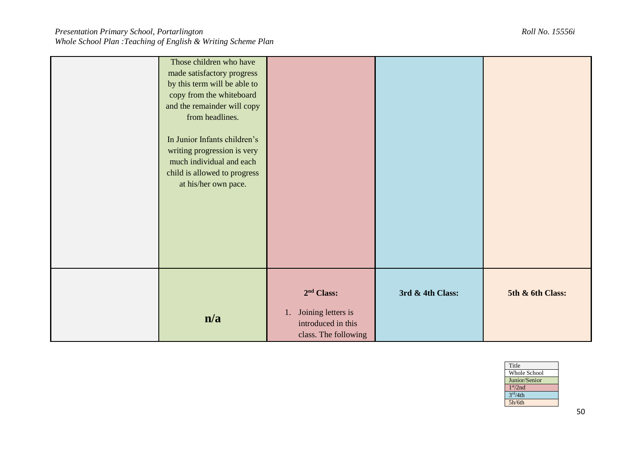| Title                |
|----------------------|
| Whole School         |
| Junior/Senior        |
| 1 <sup>st</sup> /2nd |
| 3 <sup>rd</sup> /4th |
| 5h/6th               |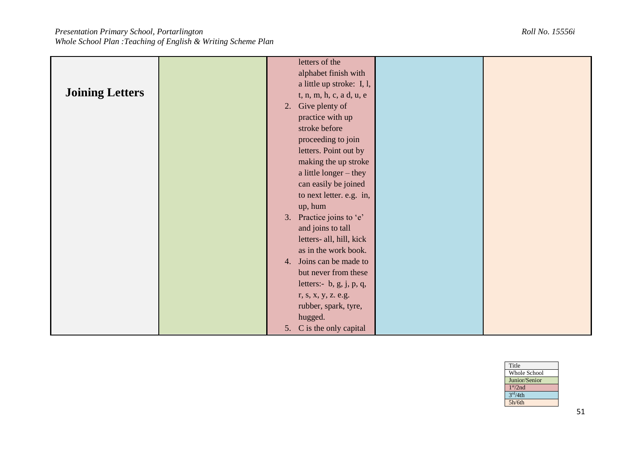|                        | letters of the              |  |
|------------------------|-----------------------------|--|
|                        | alphabet finish with        |  |
|                        | a little up stroke: I, l,   |  |
| <b>Joining Letters</b> | t, n, m, h, c, a d, u, e    |  |
|                        | Give plenty of<br>2.        |  |
|                        | practice with up            |  |
|                        | stroke before               |  |
|                        | proceeding to join          |  |
|                        | letters. Point out by       |  |
|                        | making the up stroke        |  |
|                        | a little longer - they      |  |
|                        | can easily be joined        |  |
|                        |                             |  |
|                        | to next letter. e.g. in,    |  |
|                        | up, hum                     |  |
|                        | Practice joins to 'e'<br>3. |  |
|                        | and joins to tall           |  |
|                        | letters- all, hill, kick    |  |
|                        | as in the work book.        |  |
|                        | 4. Joins can be made to     |  |
|                        | but never from these        |  |
|                        | letters:- $b, g, j, p, q,$  |  |
|                        | r, s, x, y, z. e.g.         |  |
|                        | rubber, spark, tyre,        |  |
|                        | hugged.                     |  |
|                        | 5. C is the only capital    |  |

| Title                |
|----------------------|
| <b>Whole School</b>  |
| Junior/Senior        |
| 1 <sup>st</sup> /2nd |
| 3 <sup>rd</sup> /4th |
| 5h/6th               |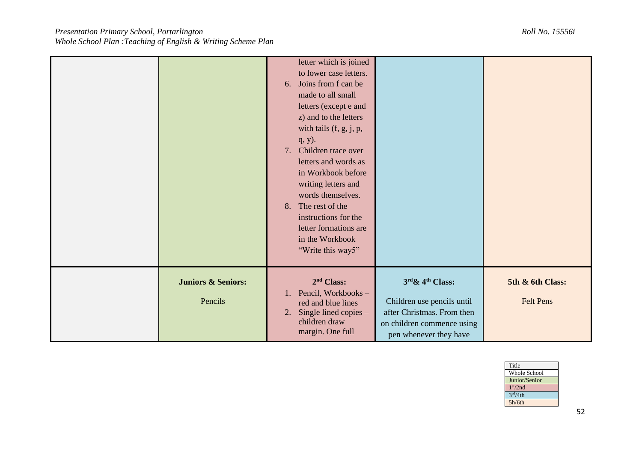|                                          | letter which is joined<br>to lower case letters.<br>6. Joins from f can be<br>made to all small<br>letters (except e and<br>z) and to the letters<br>with tails $(f, g, j, p, j)$<br>$q, y$ ).<br>7.<br>Children trace over<br>letters and words as<br>in Workbook before<br>writing letters and<br>words themselves.<br>The rest of the<br>8.<br>instructions for the<br>letter formations are<br>in the Workbook<br>"Write this way5" |                                                                                                                                         |                                      |
|------------------------------------------|-----------------------------------------------------------------------------------------------------------------------------------------------------------------------------------------------------------------------------------------------------------------------------------------------------------------------------------------------------------------------------------------------------------------------------------------|-----------------------------------------------------------------------------------------------------------------------------------------|--------------------------------------|
| <b>Juniors &amp; Seniors:</b><br>Pencils | 2 <sup>nd</sup> Class:<br>Pencil, Workbooks-<br>1.<br>red and blue lines<br>Single lined copies -<br>2.<br>children draw<br>margin. One full                                                                                                                                                                                                                                                                                            | $3rd \& 4th Class:$<br>Children use pencils until<br>after Christmas. From then<br>on children commence using<br>pen whenever they have | 5th & 6th Class:<br><b>Felt Pens</b> |

| Title                |
|----------------------|
| Whole School         |
| Junior/Senior        |
| 1 <sup>st</sup> /2nd |
| 3 <sup>rd</sup> /4th |
| 5h/6th               |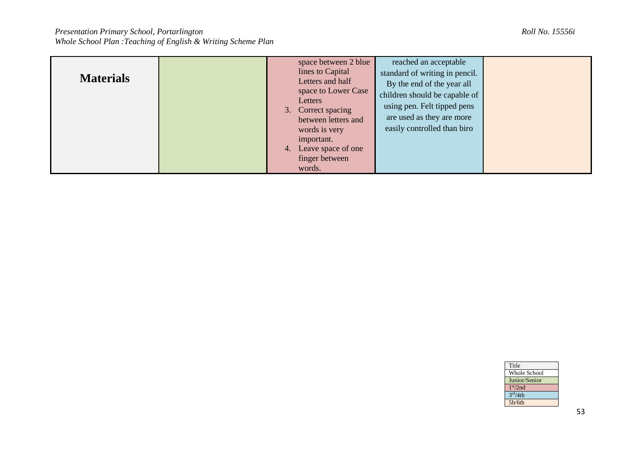| <b>Materials</b> | space between 2 blue<br>lines to Capital<br>Letters and half<br>space to Lower Case<br>Letters<br>3. Correct spacing | reached an acceptable<br>standard of writing in pencil.<br>By the end of the year all<br>children should be capable of<br>using pen. Felt tipped pens |  |
|------------------|----------------------------------------------------------------------------------------------------------------------|-------------------------------------------------------------------------------------------------------------------------------------------------------|--|
|                  | between letters and<br>words is very<br>important.<br>Leave space of one<br>4.<br>finger between<br>words.           | are used as they are more<br>easily controlled than biro                                                                                              |  |

| Title                |
|----------------------|
| <b>Whole School</b>  |
| Junior/Senior        |
| 1 <sup>st</sup> /2nd |
| 3 <sup>rd</sup> /4th |
| 5h/6th               |